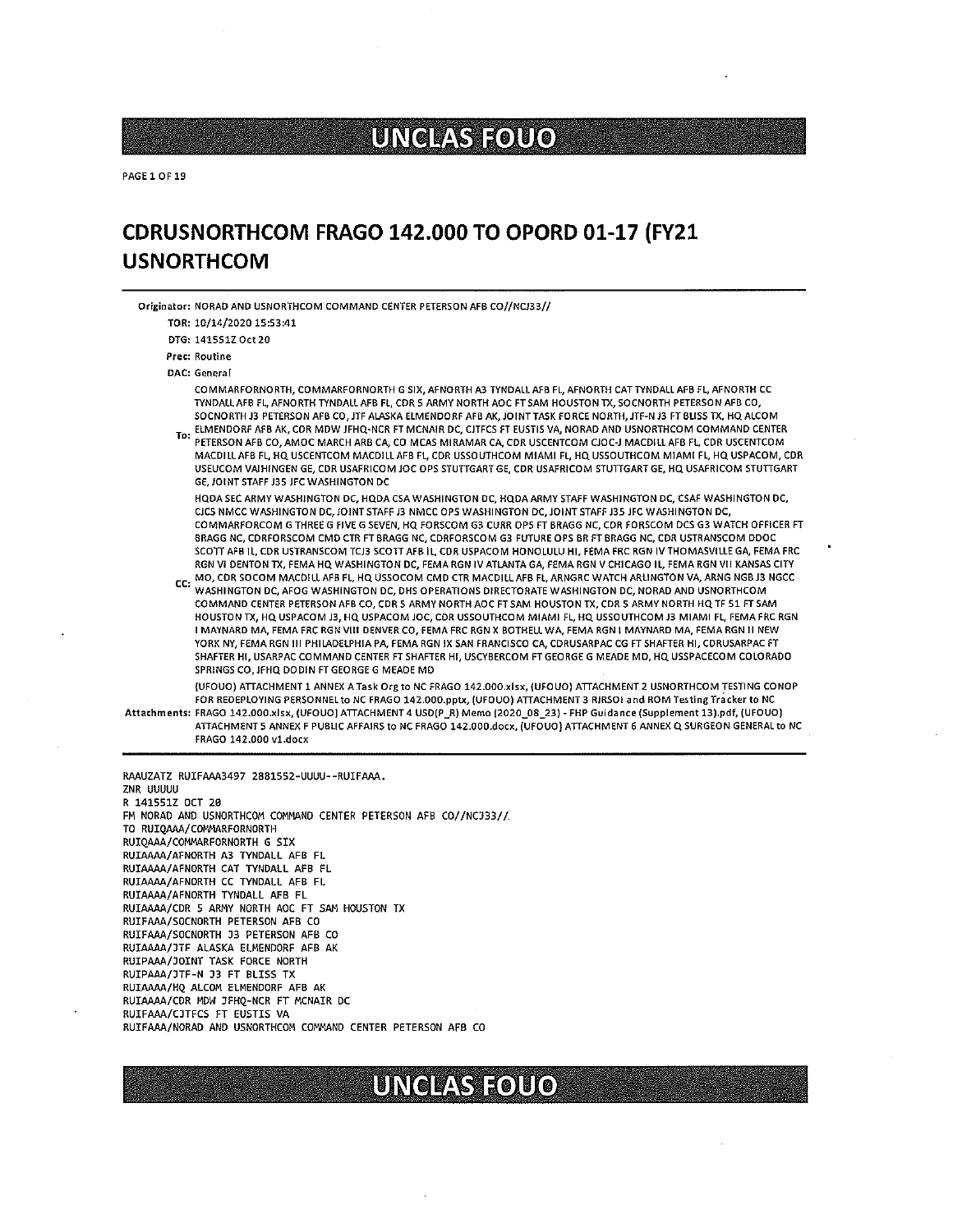# UNCLASFÔUO

PAGE 1 OF 19

## CDRUSNORTHCOM FRAGO 142.000 TO OPORD 01-17 (FY21 USNORTHCOM

Originator: NORAD AND USNORTHCOM COMMAND CENTER PETERSON AFB CO//NC333//

TOR: 10/14/2020 15:S3:41

DTG: 141SS1ZOct2O

Prec: Routine

DAC: General

COMMARFORNORTH, CDMMARFORNORTH <sup>G</sup> SIX, AFNDRTH A3 TYNDALLAFB FL, AFNORTH CATTYNDALL AFB FL, AFNORTH CC TYNDALLAFB FL AFNORTH TYNDALL AFB FL CDR <sup>S</sup> ARMY NORTH AOC FTSAM HOUSTON TX, SOCNORTH PETERSON AFB CD, SOCNORTH J3 PETERSON AFB CO, JTF ALASKA ELMENDORF AFB AK, JOINT TASK FORCE NORTH, JTF-N J3 FT BLISS TX, HQ ALCOM<br>ELMENDORF AFB AK, CDR MDW JFHQ-NCR FT MCNAIR DC, CJTFCS FT EUSTIS VA, NORAD AND USNORTHCOM COMMAND CENTER

TO: ELMENDORF AFB AK, CDR MOW JFHG'NCR FT MCNAIR DC, CJTFCS FT EUSTIS VA, NORAD AND USNORTHCOM COMMAND CENTER<br>PETERSON AFB CO, AMOC MARCH ARB CA, CO MCAS MIRAMAR CA, CDR USCENTCOM CJOC-J MACDILL AFB FL, CDR USCENTCOM MACDILL AFB FL HG USCENTCOM MACDILLAFB FL, CDR USSOUTHCOM MIAMI FL HG USSDUTHCOM MIAMI FL, HG USPACOM, CDR USEUCOM VAIHINGEN GE, CDR USAFRICOM JOC OPS STUTIGARTGE, CDR USAFRICOM STU1TGART GE, HG USAFRICOM STUTtGART GE, JOINT STAFF J35 JFC WASHINGTON DC

HQDA SEC ARMY WASHINGTON DC, HQDA CSA WASHINGTON DC, HQDA ARMY STAFF WASHINGTON DC, CSAF WASHINGTON DC, CJCS NMCC WASHINGTON DC,IDINTSTAFF J3 NMCC OPS WASHINGTON DC,JDINTSTAFF J3S JFC WASHINGTON DC, COMMARFORCOM <sup>G</sup> THREE <sup>G</sup> FIVE G SEVEN, HG FORSCOM G3 CURR OPS FT BRAGG NC, CDR FORSCOM DCS G3 WATCH OFFICER FT BRAGG NC, CDRFORSCOM CMD CTR FT BRAGG NC, CDRFORSCOM G3 FUTURE OPS BR FT BRAGG NC, CDR USTRANSCOM DDOC SCOTT AFB IL, CDR USTRANSCOM TCJ3 SCOTT AFB IL, CDR USPACOM HONOLULU HI, FEMA FRC RGN IV THOMASVILLE GA, FEMA FRC RGN VI DENTON TX, FEMA HQ WASHINGTON DC, FEMA RGN IV ATLANTA GA, FEMA RGN V CHICAGO IL, FEMA RGN VII KANSAS CITY<br>CC: MO, CDR SOCOM MACDILL AFB FL, HQ USSOCOM CMD CTR MACDILL AFB FL, ARNGRC WATCH ARLINGTON VA, ARNG NGB J3 N

WASHINGTON DC, AFOG WASHINGTON DC, DHS OPERATIONS DIRECTORATE WASHINGTON DC, NORAD AND USNORTHCOM COMMAND CENTER PETERSON AFB CO, CDR 5 ARMY NORTH AOC FT SAM HOUSTON TX, CDR 5 ARMY NORTH HQ TF 51 FT SAM HOUSTON TX, HG USPACOM J3, HG USPACOM JOC, CDR USSOUTHCOM MIAMI FL HG USSOUTHCOM 33 MIAMI FL FEMA FRC RGN <sup>I</sup> MAYNARD MA, FEMA FRC RGN VIII DENVER CO, FEMA FRC RGN <sup>X</sup> BOTHELL WA, FEMA RGN <sup>I</sup> MAYNARD MA, FEMA RGN II NEW YORK NY, FEMA RGN III PHILADELPHIA PA FEMA RGN IX SAN FRANCISCO CA, CDRUSARPAC CG FT SHAFTER HI, CDRUSARPAC FT SHAFTER HI. USARPAC COMMAND CENTER FTSHAFTER HI, USCYBERCOM FTGEORGE <sup>G</sup> MEADE MD, HG USSPACECOM COLORADO SPRINGS CO, JFHQ DODIN FT GEORGE G MEADE MD

(UFOUO) ATtACHMENT <sup>1</sup> ANNEX ATask Orgto NC FRAGO 142.000.xIsx, (UFOUO) ATtACHMENT <sup>2</sup> USNORTHCOM TESTING CONOP FOR REDEPLOYING PERSONNELto NC FRAGO 142.000.pptx, (UFOUO) ATIACHMENT3 RJRSOI and ROM TestingTracker to NC

Attachments: FRAGO 142.000.xlsx, (UFOUO) ATIACHMENT4 USD(P\_R) Memo (2020\_OS 23) - FHP Guidance (Supplement 13).pdf, (UFDUD) ATTACHMENTS ANNEX <sup>F</sup> PUBLIC AFFAIRS to NC FRAGO 142.ODD.docx, (UFOUOI ATtACHMENT 6 ANNEX G SURGEON GENERAL to NC FRAGO 142.000 vl.docx

RAAUZATZ RUIFAAA3497 2881552-UUUU--RUIFAAA. ZNR UUUUU <sup>R</sup> 1415511 DCT 20 FN NORAD AND USNORTHCOM CONMAND CENTER PETERSON AFB CO//NC333// TO RUIQAAA/COMMARFORNORTH RUIQAAA/COMMARFORNORTH G SIX RUIA&&4/AFNORTH A3 TYNDALL AFB FL RUIA&BA/AFNORTH CAT TYNDALL AFB FL RUIAAAA/AFNORTH CC TYNDALL AFB FL RUIAAAA/AFNORTH TYNDALL AFB FL RUIAAAA/CDR 5 ARMY NORTH AOC FT SAM HOUSTON TX RUIFAAA/SOCNORTH PETERSON AFB CO RUIFAAA/SOCNORTH 33 PETERSON AFB CO RUIAAAA/JTF ALASKA ELMENDORF AFB AK RUIPAAA/DOINT TASK FORCE NORTH RUIPAAA/JTF—N 33 FT BLISS TX RUIAAAA/HQ ALCOM ELNENDDRF AFB AK RUIAAAA/CDR MDW JFHQ-NCR FT MCNAIR DC RUIFAAA/CJTFCS FT EUSTIS VA RUIFAAA/NORAD AND USNORTHCOM COMMAND CENTER PETERSON AFB CO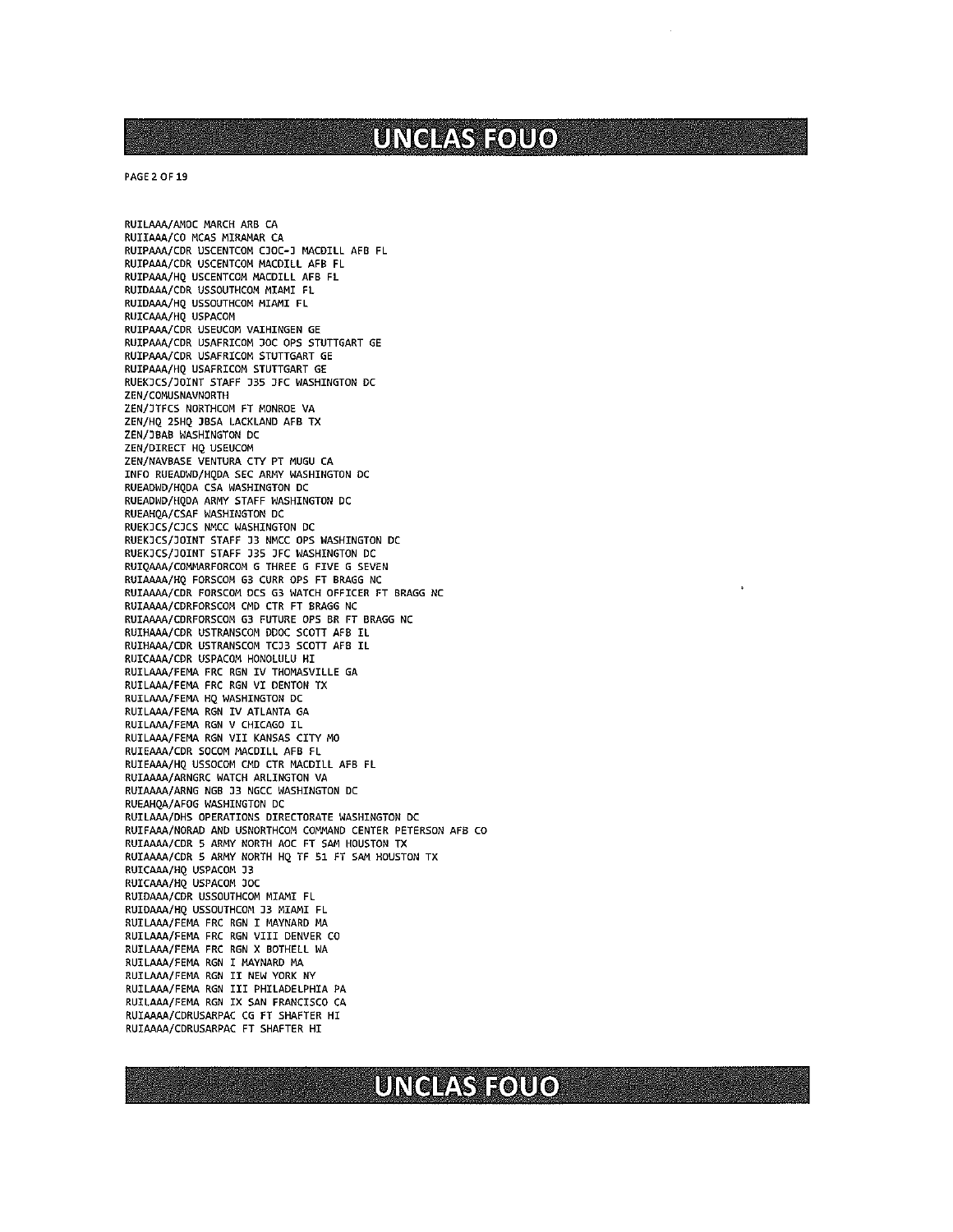PAGE 2 OF 19

RUILAAA/AMOC MARCH ARB CA RUIIAAA/CO MCAS MIRAMAR CA RUIPAAA/CDR USCENTCOM CJOC-J MACDILL AFB FL RUIPAAA/CDR USCENTCOM MACDILL AFB FL RUIPAAA/HQ USCENTCOM MACDILL AFB FL RUID&M/CDR USSOUTHCOM MIAMI FL RUIDAAA/HQ USSOUTHCOM MIAMI FL RUICAAA/HQ USPACOM RUIPAAA/CDR USEUCOM VAIHINGEN GE RUIPAAA/CDR USAFRICOM JOC OPS STUTTGART GE RUIPAAA/CDR USAFRICOM STUTTGART GE RUIP&M/HQ USAFRICOM STUTTGART GE RUEKJCS/JOINT STAFF J3S )FC WASHINGTON DC ZEN/COMUSNAVNORTH ZEN/JTFCS NDRTHCOM FT MONROE VA ZEN/HQ 2SHQ )BSA LACKLAND AFB TX ZEN/JBAB WASHINGTON DC ZEN/DIRECT HQ USEUCOM ZEN/NAVBASE VENTURA CTY PT MUGU CA INFO RUEADWD/HQDA SEC ARMY WASHINGTON DC RUEADWD/HQDA CSA WASHINGTON DC RUEADWD/HQDA ARMY STAFF WASHINGTON DC RUEAHQA/CSAF WASHINGTON DC RUEKJCS/CJCS MMCC WASHINGTON DC RUEKDCS/JDINT STAFF D3 NMCC DPS WASHINGTON DC RUEKJCS/JDINT STAFF J3S JFC WASHINGTON DC RUIQAAA/COMMARFORCOM G THREE G FIVE G SEVEN RUI&&&4/HQ FORSCOM G3 CURR OPS FT BRAGG NC RUIAAM/CDR FORSCOM DCS 03 WATCH OFFICER FT BRAGG NC RUIAAAA/CDRFORSCOM CMD CTR FT BRAGG NC RUIAAAA/CDRFORSCOM G3 FUTURE OPS BR FT BRAGG NC RUIHAAA/CDR USTRANSCOM DDOC SCOTT AFB IL RUIHAAA/CDR USTRANSCOM TCJ3 SCOTT AFB IL RUICAAA/CDR USPACOM HONOLULU HI RUILAAA/FEMA FRC RGN IV THOMASVILLE GA RUILAAA/FEMA FRC RGN VI DENTON TX RUILAAA/FEMA HQ WASHINGTON DC RUILAAA/FEMA RGN IV ATLANTA GA RUILAAA/FEMA RGN V CHICAGO IL RUILMA/FEMA RGN VII KANSAS CITY MO RUIEAAA/CDR SOCOM MACDILL AFB FL RUIEAAA/HQ USSOCOM CMD CTR MACDILL AFB FL RUI&&&A/ARNGRC WATCH ARLINGTON VA RUIAAAA/ARNG NGB J3 NGCC WASHINGTON DC RUEAHQA/AFOG WASHINGTON DC RUILAAA/DHS OPERATIONS DIRECTORATE WASHINGTON DC RUIFAAA/NORAD AND USNORTHCOM COMMAND CENTER PETERSON AFB CO RUIAA&4/CDR 5 ARMY NORTH AOC FT SAM HOUSTON TX RUIA&&A/CDR S ARMY NORTH HQ TF 51 FT SAM HOUSTON TX RUIC&&A/HQ USPACOM J3 RUICAAA/HQ USPACOM DOC RUIDAAA/CDR USSOUTHCOM MIAMI FL RUIDAAA/HQ USSOUTHCOM J3 MIAMI FL RUILAAA/FEMA FRC RON I MAYNARD MA RUILAAA/FEMA FRC RON VIII DENVER CO RUILAAA/FEMA FRC RGN X BOTHELL WA RUILAAA/FEMA RGN I MAYNARD MA RUILAAA/FEMA RGN II NEW YORK NY RUILAAA/FEMA RGN III PHILADELPHIA PA RUIL&&4/FERA RGN IX SAN FRANCISCO CA RUIAAAA/CDRUSARPAC CG FT SHAFTER HI RUIAAAA/CDRUSARPAC FT SHAFTER HI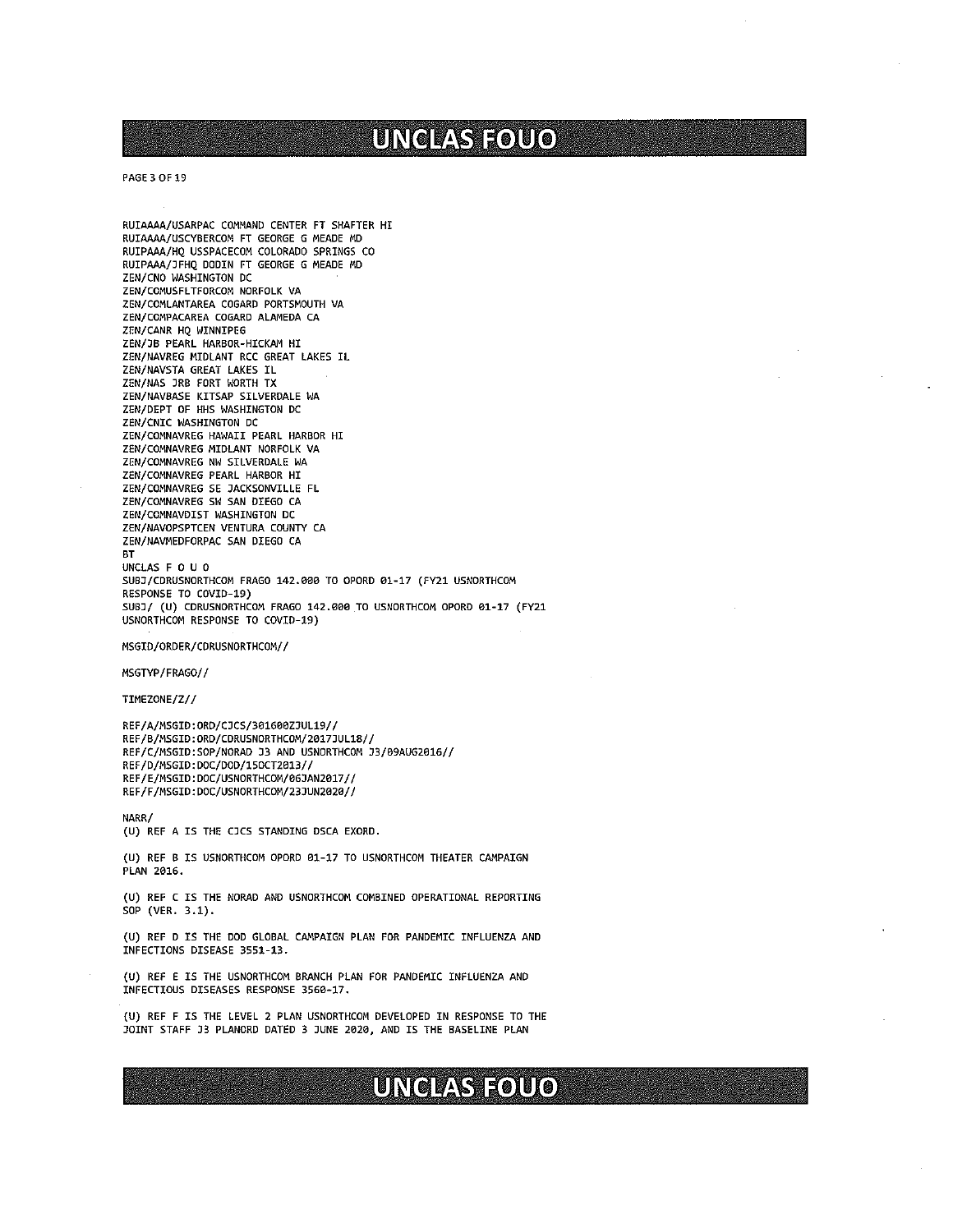# / UNCLASFOUO,

PAGE 3 OF 19

RUIAAAA/USARPAC COMMAND CENTER FT SHAFTER HI RUIAAAA/USCYBERCOM FT GEORGE G MEADE MD RUIPAAA/HQ USSPACECOM COLORADO SPRINGS CO RUIPAAA/JFHQ DODIN FT GEORGE G MEADE MD ZEN/CNO WASHINGTON DC ZEN/COMUSFLTFORCON NORFOLK VA ZEN/COMLANTAREA COGARD PORTSMOUTH VA ZEN/CONPACAREA COGARD ALAMEDA CA ZEN/CANR HQ WINNIPEG ZEN/JB PEARL HARBOR-HICKAM HI ZEN/NAVREG MIDLANT RCC GREAT LAKES IL ZENJNAVSTA GREAT LAKES IL ZEN/NAS JRB FORT WORTH TX ZEN/NAVBASE KITSAP SILVERDALE WA ZEN/DEPT OF HHS WASHINGTON DC ZENJCNIC WASHINGTON DC ZEN/COMNAVREG HAWAII PEARL HARBOR HI ZENJCOMNAVREG NIDLANT NORFOLK VA ZEN/COMNAVREG NW SILVERDALE WA ZENJCOMNAVREG PEARL HARBOR HI ZEN/COMNAVREG SE JACKSONVILLE FL ZEN/COMNAVREG SW SAN DIEGO CA ZEN/COMNAVDIST WASHINGTON DC ZEN/NAVOPSPTCEN VENTURA COUNTY CA ZEN/NAVNEDFORPAC SAN DIEGO CA BT UNCLAS F 0 U 0 SUBJ/CDRUSNORTHCON FRAGO 142.000 TO OPORO 01-17 (FY21 USNORTHCOM RESPONSE TO COVID-19) SUBJ/ (U) CDRUSNORTHCON FRAGO 142.000 TO USNORTHCON OPORO 01-17 (FY21 USNORTHCOM RESPONSE TO COVIO—J9) MSGIO/ORDER/CDRUSNORTHCON// MSGTYP/FRAGO// TIMEZONE/Z// REF/A/NSGID:ORD/CJCS/3O1GOOZJUL19// REF/B/NSGID:ORD/CDRUSNORTHCON/2O17JUL1B// REF/C/NSGID:SOP/NORAD J3 AND USNORTHCON J3/09AUG2016// REF/D/NSGID: DOC/000/150CT2B13// REF/E/NSGID: DOC/USNORTHCOM/06JAN2017// REF/F/NSGID: DOC/USNORTHCOM/23JUN2020//

NARR/ (U) REF A IS THE CJCS STANDING DSCA EXORO.

(U) REF <sup>B</sup> IS USNORTHCOM OPORD 01-17 TO USNORTHCOM THEATER CAMPAIGN PLAN 2016.

(U) REF <sup>C</sup> IS THE NORAD AND USNORTHCON COMBINED OPERATIONAL REPORTING SOP (VER. 3.1).

(U) REF 0 IS THE DOD GLOBAL CAMPAIGN PLAN FOR PANDEMIC INFLUENZA AND INFECTIONS DISEASE 3551-13.

(U) REF <sup>E</sup> IS THE USNORTHCON BRANCH PLAN FOR PANDEMIC INFLUENZA AND INFECTIOUS DISEASES RESPONSE 3560—17.

(U) REF <sup>F</sup> IS THE LEVEL <sup>2</sup> PLAN USNORTHCOM DEVELOPED IN RESPONSE TO THE JOINT STAFF J3 PLANORD DATED <sup>3</sup> JUNE 2020, AND IS THE BASELINE PLAN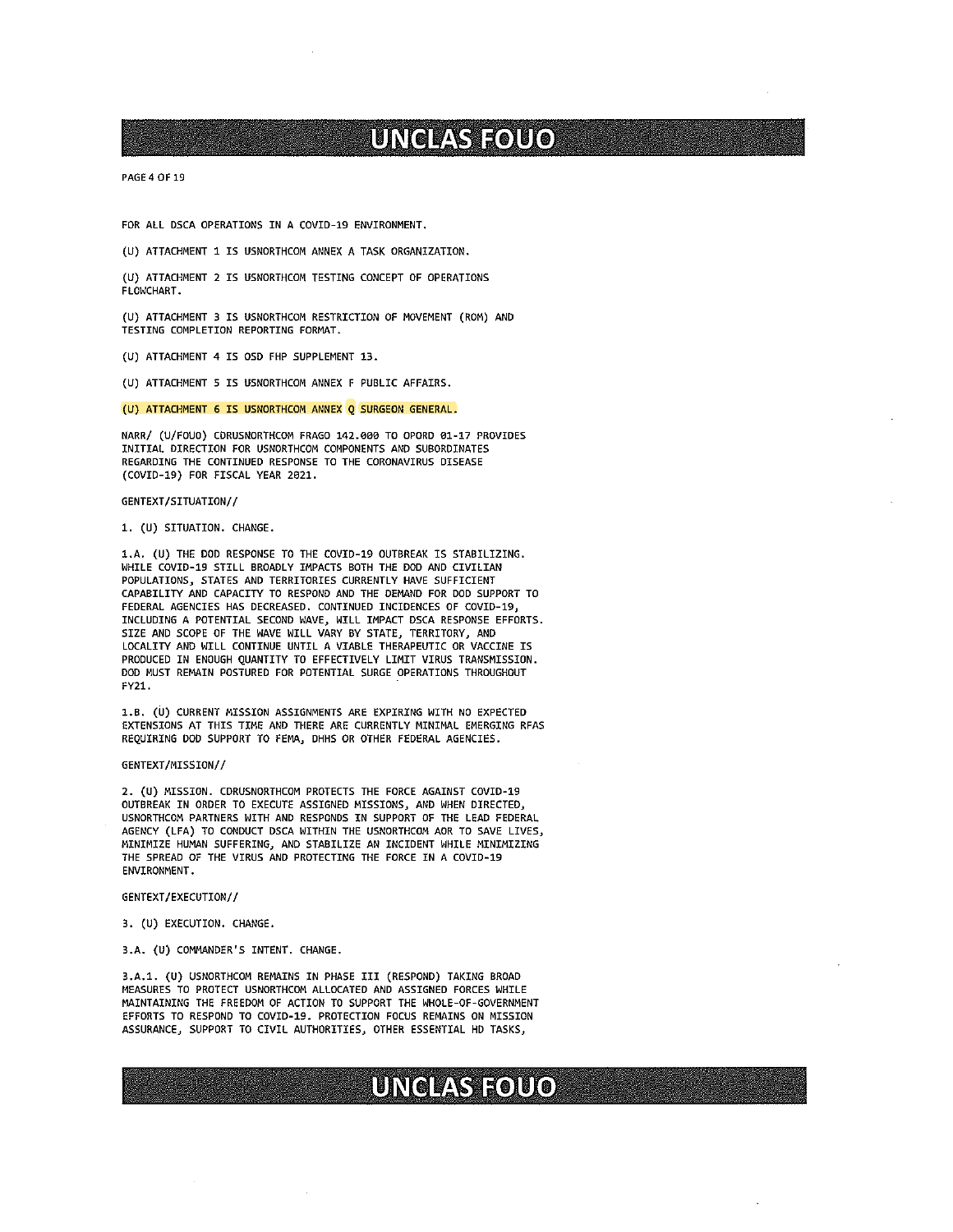PAGE 4 OF 19

FOR ALL DSCA OPERATIONS IN A COVID-19 ENVIRONMENT.

(U) ATTACHMENT 1 IS USNORTHCOM ANNEX A TASK ORGANIZATION.

(U) ATTACHMENT 2 IS USNORTHCOM TESTING CONCEPT OF OPERATIONS FLONCHART.

(U) ATTACHMENT 3 IS USNORTHCOM RESTRICTION OF MOVEMENT (RON) ANO TESTING COMPLETION REPORTING FORMAT.

(U) ATTACHMENT 4 IS OSD FHP SUPPLEMENT 13.

(U) ATTACHMENT <sup>5</sup> IS USNORTHCOM ANNEX <sup>F</sup> PUBLIC APFAIRS.

(U) ATTACHMENT 6 IS USNORTHCOM ANNEX <sup>Q</sup> SURGEON GENERAL.

NARR/ (U/FOUO) CORUSNORTHCOM FRAGO 142.000 TO OPORO el-i? PROVIDES INITIAL DIRECTION FOR USNORTHCON COMPONENTS AND SUBORDINATES REGARDING THE CONTINUED RESPONSE TO THE CORONAVIRUS DISEASE (COVID-l9) FOR FISCAL YEAR 2021.

#### GENTEXT/SITUATION//

1. (U) SITUATION. CHANGE.

l.A. (U) THE DOD RESPONSE TO THE COVID-l9 OUTBREAK IS STABILIZING. WHILE COVID-19 STILL BROADLY IMPACTS BOTH THE DOD AND CIVILIAN POPULATIONS, STATES AND TERRITORIES CURRENTLY HAVE SUFFICIENT CAPABILITY AND CAPACITY TO RESPOND AND THE DEMAND FDR DOD SUPPORT TO FEDERAL AGENCIES HAS DECREASED. CONTINUED INCIDENCES OF COVID-19, INCLUDING A POTENTIAL SECOND NAVE, WILL IMPACT DSCA RESPONSE EFFORTS. SIZE AND SCOPE OF THE NAVE WILL VARY BY STATE, TERRITORY, AND LDCALITY AND NILL CONTINUE UNTIL A VIABLE THERAPEUTIC OR VACCINE IS PRODUCED IN ENOUGH QUANTITY TO EFFECTIVELY LIMIT VIRUS TRANSMISSION. DOD MUST REMAIN POSTURED FOR POTENTIAL SURGE OPERATIONS THROUGHOUT FY21. -

l.B. (U) CURRENT MISSION ASSIGNMENTS ARE EXPIRING WITH NO EXPECTED EXTENSIONS AT THIS TINE AND THERE ARE CURRENTLY MINIMAL EMERGING RFAS REQUIRING DOD SUPPORT TO FEMA, DHHS OR OTHER FEDERAL AGENCIES.

#### GENTEXT/NISSION//

2. (U) MISSION. CDRUSNDRTHCOM PROTECTS THE FDRCE AGAINST COVID-19 OUTBREAK IN ORDER TO EXECUTE ASSIGNED MISSIONS, AND WHEN DIRECTED, USNORTHCOM PARTNERS WITH AND RESPONDS IN SUPPORT OF THE LEAD FEDERAL AGENCY (LFA) TO CONDUCT DSCA WITHIN THE USNORTHCOM AOR TD SAVE LIVES, MINIMIZE HUMAN SUFFERING, AND STABILIZE AN INCIDENT WHILE MINIMIZING THE SPREAD OF THE VIRUS AND PROTECTING THE FORCE IN A CDVID-19 ENVIRONMENT.

GENTEXT/EXECUTION//

3. (U) EXECUTION. CHANGE.

3.A. (U) COMMANDER'S INTENT. CHANGE.

3.A.l. (U) USNORTHCOM REMAINS IN PHASE III (RESPOND) TAKING BROAD MEASURES TO PROTECT USNORTHCOM ALLOCATED AND ASSIGNED FORCES WHILE MAINTAINING THE FREEDOM OF ACTION TO SUPPORT THE WHOLE-OF-GOVERNMENT EFFORTS TO RESPOND TO COVID-19. PROTECTION FOCUS REMAINS ON MISSION ASSURANCE, SUPPORT TO CIVIL AUTHORITIES, OTHER ESSENTIAL HO TASKS,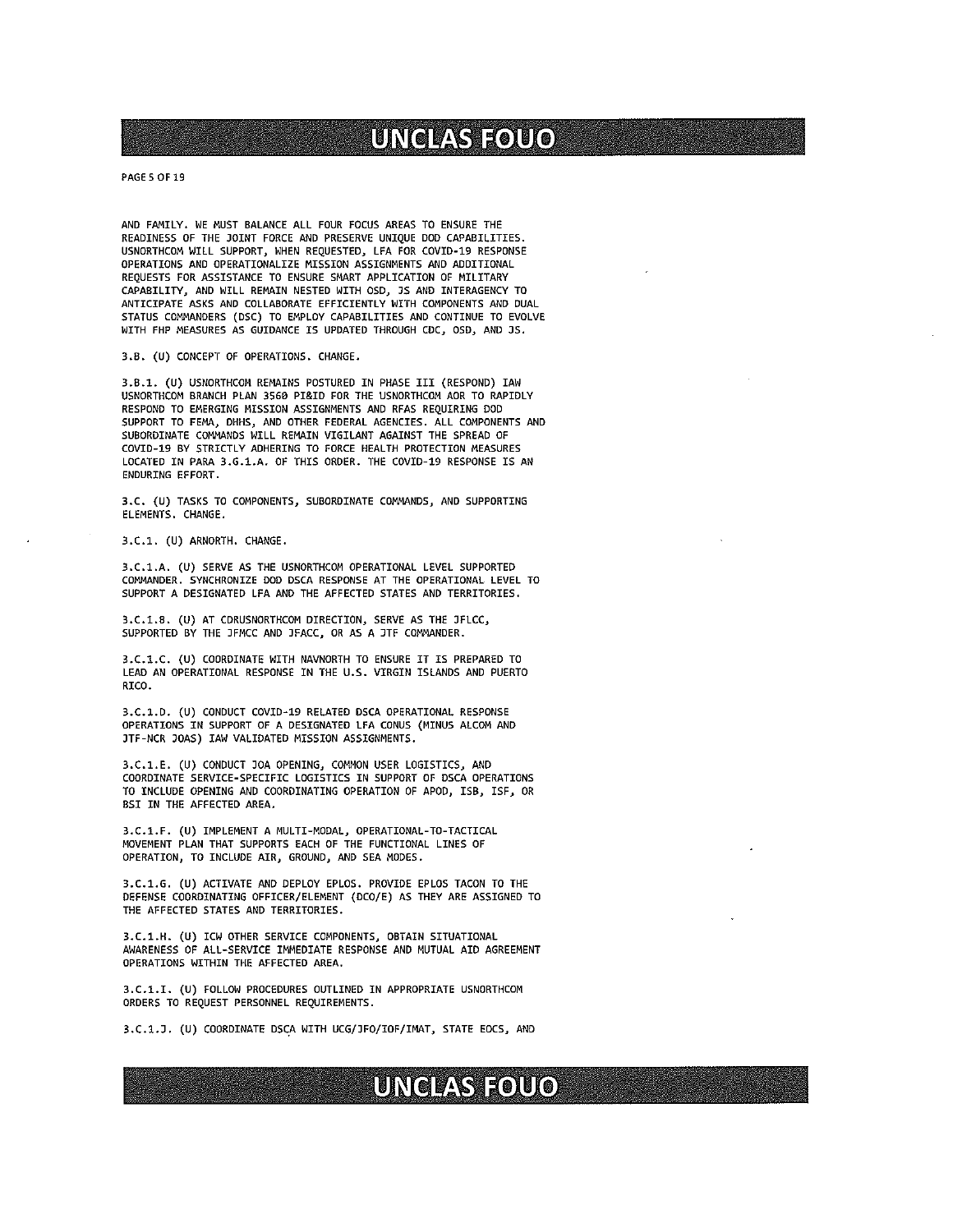PAGES OF 19

AND FAMILY. WE MUST BALANCE ALL FOUR FOCUS AREAS TO ENSURE THE READINESS OF THE JOINT FORCE AND PRESERVE UNIQUE DOD CAPABILITIES. USNDRTHCOM WILL SUPPORT, WHEN REQUESTED, LFA FOR COVID-19 RESPONSE OPERATIONS AND OPERATIONALIZE MISSION ASSIGNMENTS AND ADDITIONAL REQUESTS FOR ASSISTANCE TO ENSURE SMART APPLICATION OF NILITARY CAPABILITY, AND WILL REMAIN NESTED WITH 050, JS AND INTERAGENCY TO ANTICIPATE ASKS AND COLLABORATE EFFICIENTLY WITH COMPONENTS AND DUAL STATUS COMMANDERS (DSC) TO EMPLOY CAPABILITIES AND CONTINUE TO EVOLVE WITH FHP NEASURES AS GUIDANCE IS UPDATED THROUGH CDC, OSD, AND JS.

3.8. (U) CONCEPT OF OPERATIONS. CHANGE.

3.8.1. (U) USNORTHCCM REMAINS POSTURED IN PHASE III (RESPOND) IAN USNORTHCOM BRANCH PLAN 3560 PI&IO FOR THE USNORTHCOM AOR TO RAPIDLY RESPOND TO EMERGING MISSION ASSIGNMENTS AND RFAS REQUIRING DOD SUPPORT TO FEMA, DHHS, AND OTHER FEDERAL AGENCIES. ALL COMPONENTS AND SUBORDINATE COMMANDS WILL REMAIN VIGILANT AGAINST THE SPREAD OF COVID-19 BY STRICTLY ADHERING TO FORCE HEALTH PROTECTION MEASURES LOCATED IN PARA 3.G.1.A. OF THIS ORDER. THE COVID-19 RESPONSE IS AN ENDURING EFFORT.

3.C. (U) TASKS TO COMPONENTS, SUBORDINATE COMMANDS, AND SUPPORTING ELEMENTS. CHANGE.

3.C.l. (U) ARNORTH. CHANGE.

3.C.1.A. (U) SERVE AS THE USNORTHCOM OPERATIONAL LEVEL SUPPORTED COMMANDER. SYNCHRONIZE DOD DSCA RESPONSE AT THE OPERATIONAL LEVEL TO SUPPORT A DESIGNATED LFA AND THE AFFECTED STATES AND TERRITORIES.

3.C.1.B. (U) AT CDRUSNORTHCOM DIRECTION, SERVE AS THE JFLCC, SUPPORTED BY THE JFMCC AND )FACC, OR AS A JTF COMMANDER.

3.C.1.C. (U) COORDINATE WITH NAVNORTH TO ENSURE IT IS PREPARED TO LEAD AN OPERATIONAL RESPONSE IN THE U.S. VIRGIN ISLANDS AND PUERTO RICO.

3.C.1.D. (U) CONDUCT COVID-19 RELATED DSCA OPERATIONAL RESPONSE OPERATIONS IN SUPPORT OF A DESIGNATED LFA CONUS (MINUS ALCOM AND JTF-NCR JOAS) IAN VALIDATED MISSION ASSIGNMENTS.

3.C.l.E. (U) CONDUCT DOA OPENING, COMMON USER LOGISTICS, AND COORDINATE SERVICE-SPECIFIC LOGISTICS IN SUPPORT OF DSCA OPERATIONS TO INCLUDE OPENING AND COORDINATING OPERATION OF APOD, ISB, 1SF, OR 851 IN THE AFFECTED AREA.

3.C.1.F. (U) IMPLEMENT <sup>A</sup> MULTI-MODAL, OPERATIONAL-TO-TACTICAL MOVEMENT PLAN THAT SUPPORTS EACH OF THE FUNCTIONAL LINES OF OPERATION, TO INCLUDE AIR, GROUND, AND SEA MODES.

3.C.1.G. (U) ACTIVATE AND DEPLOY EPLOS. PROVIDE EPLOS TACON TO THE DEFENSE COOROINATING OFFICER/ELEMENT (DCO/E) AS THEY ARE ASSIGNED TO THE AFFECTED STATES ANO TERRITORIES.

3.C.1.H. (U) 1CM OTHER SERVICE COMPONENTS, OBTAIN SITUATIONAL AWARENESS OF ALL—SERVICE IMMEDIATE RESPONSE AND MUTUAL AID AGREEMENT OPERATIONS WITHIN THE AFFECTED AREA.

3.C.1.I. (U) FOLLOW PROCEDURES OUTLINED IN APPROPRIATE USNORTHCOM ORDERS TO REQUEST PERSONNEL REQUIREMENTS.

3.C.1.J. (U) COORDINATE DSCA WITH UCG/JFO/IOF/IMAT, STATE EOCS, AND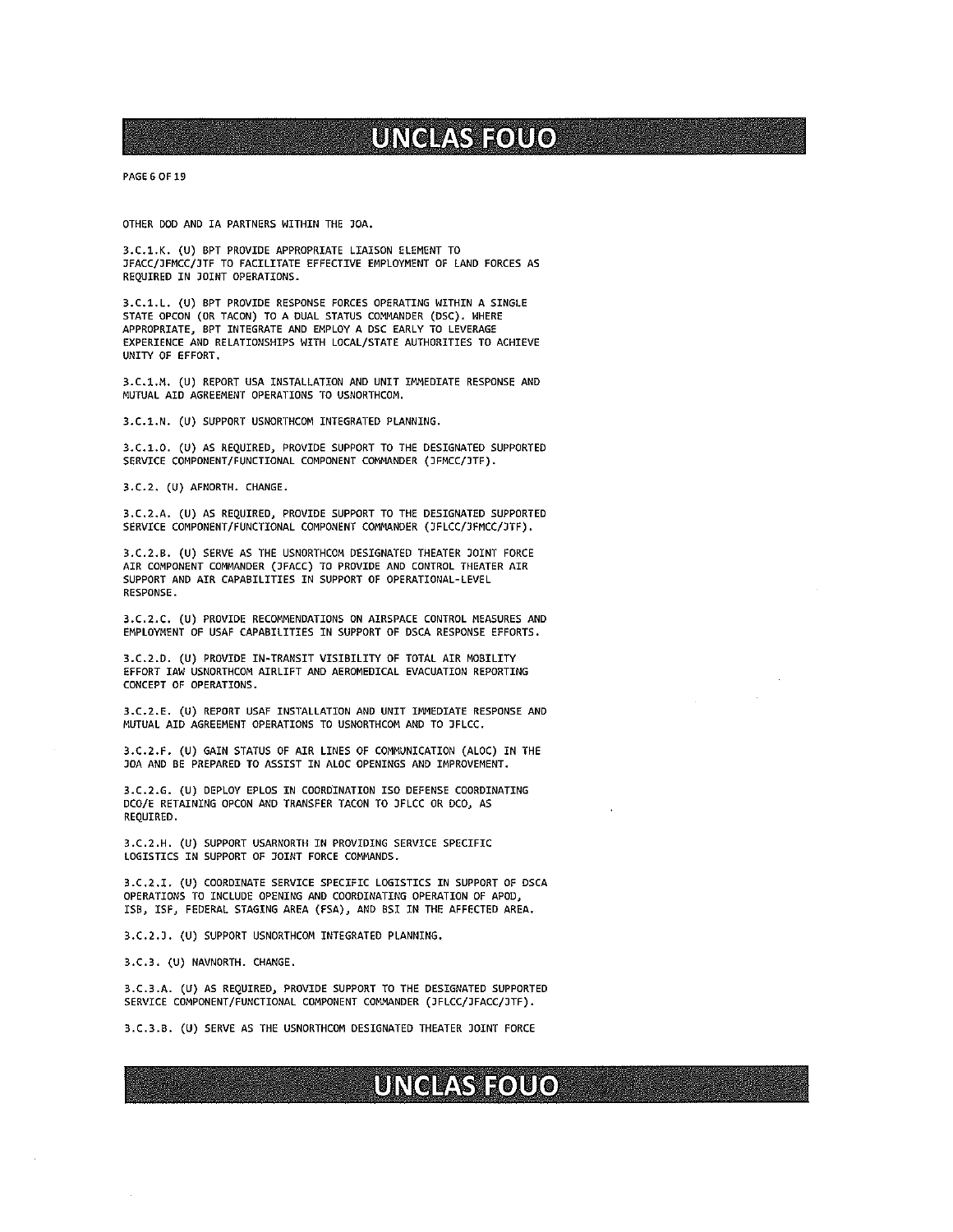PAGE 6 OF 19

OTHER DOD AND IA PARTNERS WITHIN THE JOA.

3.C.1.K. (U) BPT PROVIDE APPROPRIATE LIAISON ELEMENT TO JFACC/JFMCC/JTF TO FACILITATE EFFECTIVE EMPLOYMENT OF LAND FORCES AS REQUIRED IN JOINT OPERATIONS.

3.C.1.L. (U) BPT PROVIDE RESPONSE FORCES OPERATING WITHIN <sup>A</sup> SINGLE STATE OPCON (OR TACON) TO A DUAL STATUS COMMANDER (OSC). WHERE APPROPRIATE, BPT INTEGRATE AND EMPLOY A DSC EARLY TO LEVERAGE EXPERIENCE AND RELATIONSHIPS WITH LOCAL/STATE AUTHORITIES TO ACHIEVE UNITY OF EFFORT.

3.C.J..M. (U) REPORT USA INSTALLATION AND UNIT IMMEDIATE RESPONSE AND MUTUAL AID AGREEMENT OPERATIONS TO USMORTHCOM.

3.C.1.N. (U) SUPPORT USNORTHCOM INTEGRATED PLANNING.

3.C.l.O. (U) AS REQUIRED, PROVIDE SUPPORT TO THE DESIGNATED SUPPORTED SERVICE COMPONENT/FUNCTIONAL COMPONENT COMMANDER (JFMCC/JTF).

3.C.2. (U) AFNORTH. CHANGE.

3.C.2.A. (U) AS REQUIRED, PROVIDE SUPPORT TO THE DESIGNATED SUPPORTED SERVICE COMPONENT/FUNCTIONAL COMPONENT COMMANOER (JFLCC/JFMCC/JTF).

3.C.2.B. (U) SERVE AS THE USNORTHCOM DESIGNATED THEATER JOINT FORCE AIR COMPONENT COMMANDER (JFACC) TO PROVIDE AND CONTROL THEATER AIR SUPPORT AND AIR CAPABILITIES IN SUPPORT OF OPERATIONAL-LEVEL RESPONSE.

3.C.2.C. (U) PROVIDE RECOMMENDATIONS ON AIRSPACE CONTROL MEASURES AND EMPLOYMENT OF USAF CAPABILITIES IN SUPPORT OF OSCA RESPONSE EFFORTS.

3.C.2.D. (U) PROVIDE IN-TRANSIT VISIBILITY OF TOTAL AIR MOBILITY EFFORT lAW USNORTHCON AIRLIFT AND AEROMEDICAL EVACUATION REPORTING CONCEPT OF OPERATIONS.

3.C.2.E. (U) REPORT USAF INSTALLATION AND UNIT IMMEDIATE RESPONSE AND MUTUAL AID AGREEMENT OPERATIONS TO USNORTHCOM AND TO JFLCC.

3.C.2.F. (U) GAIN STATUS OF AIR LINES OF COMMUNICATION (ALOC) IN THE JOA AND BE PREPARED TO ASSIST IN ALOC OPENINGS AND IMPROVEMENT.

3.C.2.G. (U) DEPLOY EPLOS IN COOROINATIOM ISO DEFENSE COORDINATING OCO/E RETAINING OPCON AND TRANSFER TACON TO JFLCC OR OCO, AS REQUIRED.

3.C.2.H. (U) SUPPORT USARNORTH IN PROVIDING SERVICE SPECIFIC LOGISTICS IN SUPPORT OF JOINT FORCE COMMANDS.

3.C.2.I. (U) COORDINATE SERVICE SPECIFIC LOGISTICS IN SUPPORT OF DSCA OPERATIONS TO INCLUDE OPENING AND COORDINATING OPERATION OF APOD, 159, 1SF, FEDERAL STAGING AREA (FSA), ANO BSI IN THE AFFECTED AREA.

3.C.2.J. (U) SUPPORT USNORTHCOM INTEGRATED PLANNING.

3.C.3. (U) NAVNORTH. CHANGE.

3.C.3.A. (U) AS REQUIRED) PROVIDE SUPPORT TO THE OESIGNATEO SUPPORTED SERVICE COMPONENT/FUNCTIONAL COMPONENT COMMANDER (JFLCC/JFACC/JTF).

3.C.3.B. (U) SERVE AS THE USNORTHCOM DESIGNATED THEATER JOINT FORCE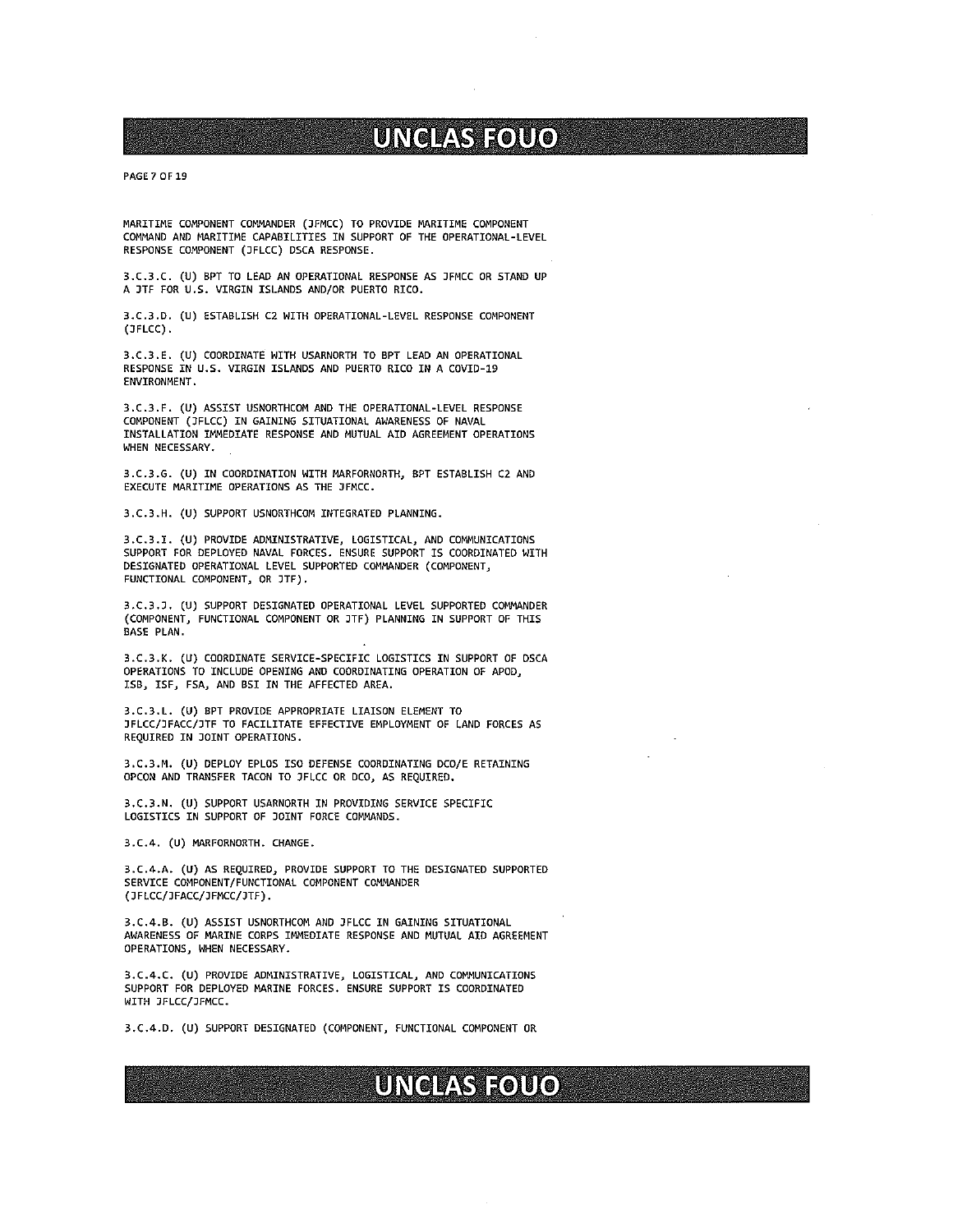PAGE? OF 19

MARITIME COMPONENT COMMANDER (JFMCC) TO PROVIDE MARITIME COMPONENT COMMAND AND MARITIME CAPABILITIES IN SUPPORT OF THE OPERATIONAL-LEVEL RESPONSE COMPONENT (JFLCC) DSCA RESPONSE.

3.C.3.C. (U) BPT TO LEAD AN OPERATIONAL RESPONSE AS JFMCC OR STAND UP A JTf FOR U.S. VIRGIN ISLANDS AND/OR PUERTO RICO.

3.C.3.D. (U) ESTABLISH C2 WITH OPERATIONAL-LEVEL RESPONSE COMPONENT (JFLCC)

3.C.3.E. (U) COORDINATE WITH USARNORTH TO BPT LEAD AN OPERATIONAL RESPONSE IN U.S. VIRGIN ISLANDS AND PUERTO RICO IN A COVID-19 ENVIRONMENT.

3.C.3.F. (U) ASSIST USNORTHCOM AND THE OPERATIONAL-LEVEL RESPONSE COMPONENT (JFLCC) IN GAINING SITUATIONAL AWARENESS OF NAVAL INSTALLATION IMMEDIATE RESPONSE AND MUTUAL AID AGREEMENT OPERATIONS WHEN NECESSARY.

3.C.3.G. (U) IN COORDINATION WITH MARFORNORTH, BPT ESTABLISH C2 AND EXECUTE MARITIME OPERATIONS AS THE JFMCC.

3.C.3.H. (U) SUPPORT USNORTHCOM INTEGRATED PLANNING.

3.C.3.I. (U) PROVIDE ADMINISTRATIVE, LOGISTICAL, AND COMMUNICATIONS SUPPORT FOR DEPLOYED NAVAL FORCES. ENSURE SUPPORT IS COORDINATED WITH DESIGNATED OPERATIONAL LEVEL SUPPORTED COMMANDER (COMPONENT, FUNCTIONAL COMPONENT, OR JTF).

3.C.3.J. (U) SUPPORT DESIGNATED OPERATIONAL LEVEL SUPPORTED COMMANDER (COMPONENT, FUNCTIONAL COMPONENT OR JTF) PLANNING IN SUPPORT OF THIS BASE PLAN.

3.C.3.K. (U) COORDINATE SERVICE—SPECIFIC LOGISTICS IN SUPPORT OF DSCA OPERATIONS TO INCLUDE OPENING AND COORDINATING OPERATION OF APOD, ISB, 1SF, FSA, AND BSI IN THE AFFECTED AREA.

3.C.3.L. (U) BPT PROVIDE APPROPRIATE LIAISON ELEMENT TO )FLCC/JFACC/JTF 10 FACILITATE EFFECTIVE EMPLOYMENT OF LAND FORCES AS REQUIRED IN JOINT OPERATIONS.

3.C.3.M. (U) DEPLOY EPLOS ISO DEFENSE COORDINATING DCO/E RETAINING OPCON AND TRANSFER TACON TO JFLCC OR OCO, AS REQUIRED.

3.C.3.N. (U) SUPPORT USARNORTH IN PROVIDING SERVICE SPECIFIC LOGISTICS IN SUPPORT OF JOINT FORCE COMMANDS.

3.C.4. (U) MARFORNORTH. CHANGE.

3.C.4.A. (U) AS REQUIRED, PROVIDE SUPPORT TO THE DESIGNATED SUPPORTED SERVICE COMPONENT/FUNCTIONAL COMPONENT COMMANDER (JFLCC/JFACC/JFMCC/JTF).

3.C.4.B. (U) ASSIST USNORTHCOM AND JFLCC IN GAINING SITUATIONAL AWARENESS OF MARINE CORPS IMMEDIATE RESPONSE AND MUTUAL AID AGREEMENT OPERATIONS, WHEN NECESSARY.

3.C.4.C. (U) PROVIDE ADMINISTRATIVE, LOGISTICAL, AND COMMUNICATIONS SUPPORT FOR DEPLOYED MARINE FORCES. ENSURE SUPPORT IS COORDINATED WITH JFLCC/JFNCC.

3.C.4.D. (U) SUPPORT DESIGNATED (COMPONENT, FUNCTIONAL COMPONENT OR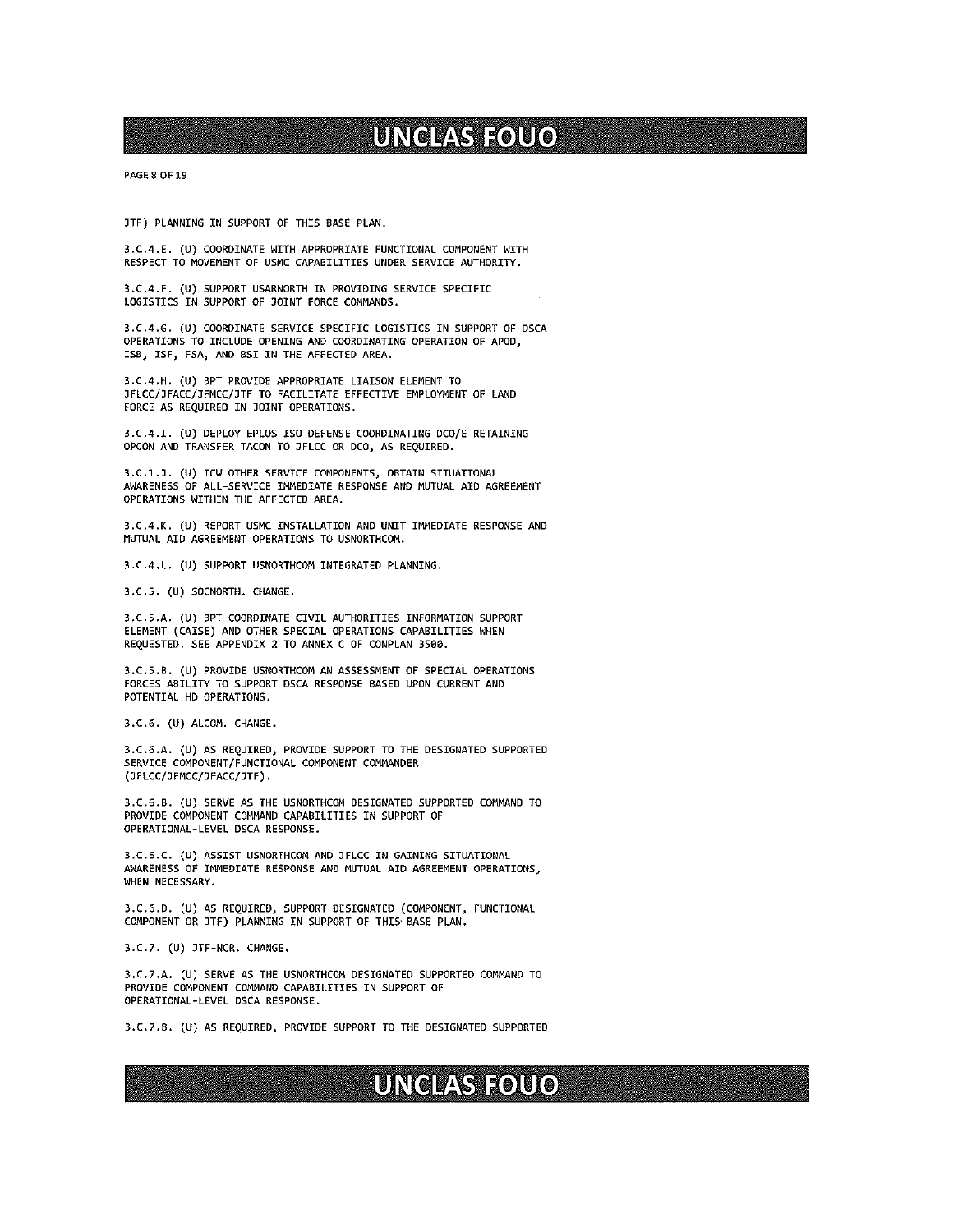PAGE 8 OF 19

JTF) PLANNING IN SUPPORT OF THIS BASE PLAN.

3.C.4.E. (U) COORDINATE WITH APPROPRIATE FUNCTIONAL COMPONENT WITH RESPECT TO MOVEMENT OF USMC CAPABILITIES UNDER SERVICE AUTHORITY.

3.C.4.F. (U) SUPPORT USARNORTH IN PROVIDING SERVICE SPECIFIC LOGISTICS IN SUPPORT OF JOINT FORCE COMMANDS.

3.C.4.G. (U) COORDINATE SERVICE SPECIFIC LOGISTICS IN SUPPORT OF OSCA OPERATIONS TO INCLUDE OPENING AND COORDINATING OPERATION OF APDD, ISB, 1SF, FSA, AND BSI IN THE AFFECTED AREA.

3.C.4.H. (U) BPT PROVIDE APPROPRIATE LIAISON ELEMENT TO JFLCC/JFACC/)FMCC/JTF TO FACILITATE EFFECTIVE EMPLOYMENT OF LAND FORCE AS REQUIRED IN JOINT OPERATIONS.

3.C.4.I. (U) DEPLOY EPLOS ISO DEFENSE COORDINATING DCO/E RETAINING OPCON ANO TRANSFER TACDN TO JFLCC OR DCO, AS REQUIRED.

3.C.1.D. (U) ICW OTHER SERVICE COMPONENTS, OBTAIN SITUATIONAL AWARENESS OF ALL—SERVICE IMMEDIATE RESPONSE AND MUTUAL AID AGREEMENT OPERATIONS WITHIN THE AFFECTEO AREA.

3.C.4.K. (U) REPORT USMC INSTALLATION AND UNIT IMMEDIATE RESPONSE AND MUTUAL AID AGREEMENT OPERATIONS TO USNORTHCOM.

3.C.4.L. (U) SUPPORT USNORTHCOM INTEGRATED PLANNING.

3.C.S. (U) SDCNORTH. CHANGE.

3.C.5.A. (U) BPT COORDINATE CIVIL AUTHORITIES INFORMATION SUPPORT ELEMENT (CAISE) AND OTHER SPECIAL OPERATIONS CAPABILITIES WHEN REQUESTED. SEE APPENDIX 2 TO ANNEX <sup>C</sup> OF CONPLAN 3500.

3.C.5.B. (U) PROVIDE USNORTHCOM AN ASSESSMENT OF SPECIAL OPERATIONS FORCES ABILITY TO SUPPORT DSCA RESPONSE BASEO UPON CURRENT AND POTENTIAL HD OPERATIONS.

3.C.6. (U) ALCOM. CHANGE.

3.C.6.A. (U) AS REQUIRED, PROVIDE SUPPORT TO THE DESIGNATED SUPPORTED SERVICE COMPONENT/FUNCTIONAL COMPONENT COMMANDER (JFLCC/JFMCC/JFACC/JTF).

3.C.6.B. (U) SERYE AS THE USNORTHCON DESIGNATED SUPPORTED COMMAND TO PROVIDE COMPONENT COMMAND CAPABILITIES IN SUPPORT OF OPERATIONAL—LEVEL DSCA RESPONSE.

3.C.6.C. (U) ASSIST USNORTHCOM AND JFLCC IN GAINING SITUATIONAL AWARENESS OF IMMEDIATE RESPONSE AND MUTUAL AID AGREEMENT OPERATIONS, WHEN NECESSARY.

3.C.6.D. (U) AS REQUIRED, SUPPORT DESIGNATED (COMPONENT, FUNCTIONAL COMPONENT DR JTF) PLANNING IN SUPPORT OF THIS BASE PLAN.

3.C.7. (U) JTF-NCR. CHANGE.

3.C.7.A. (U) SERVE AS THE USNORTHCOM DESIGNATED SUPPORTED COMMAND TO PROVIDE CDMPDNENT COMMAND CAPABILITIES IN SUPPDRT OF OPERATIONAL-LEVEL DSCA RESPONSE.

3.C.7.B. (U) AS REQUIRED, PROVIDE SUPPORT TO THE DESIGNATED SUPPORTED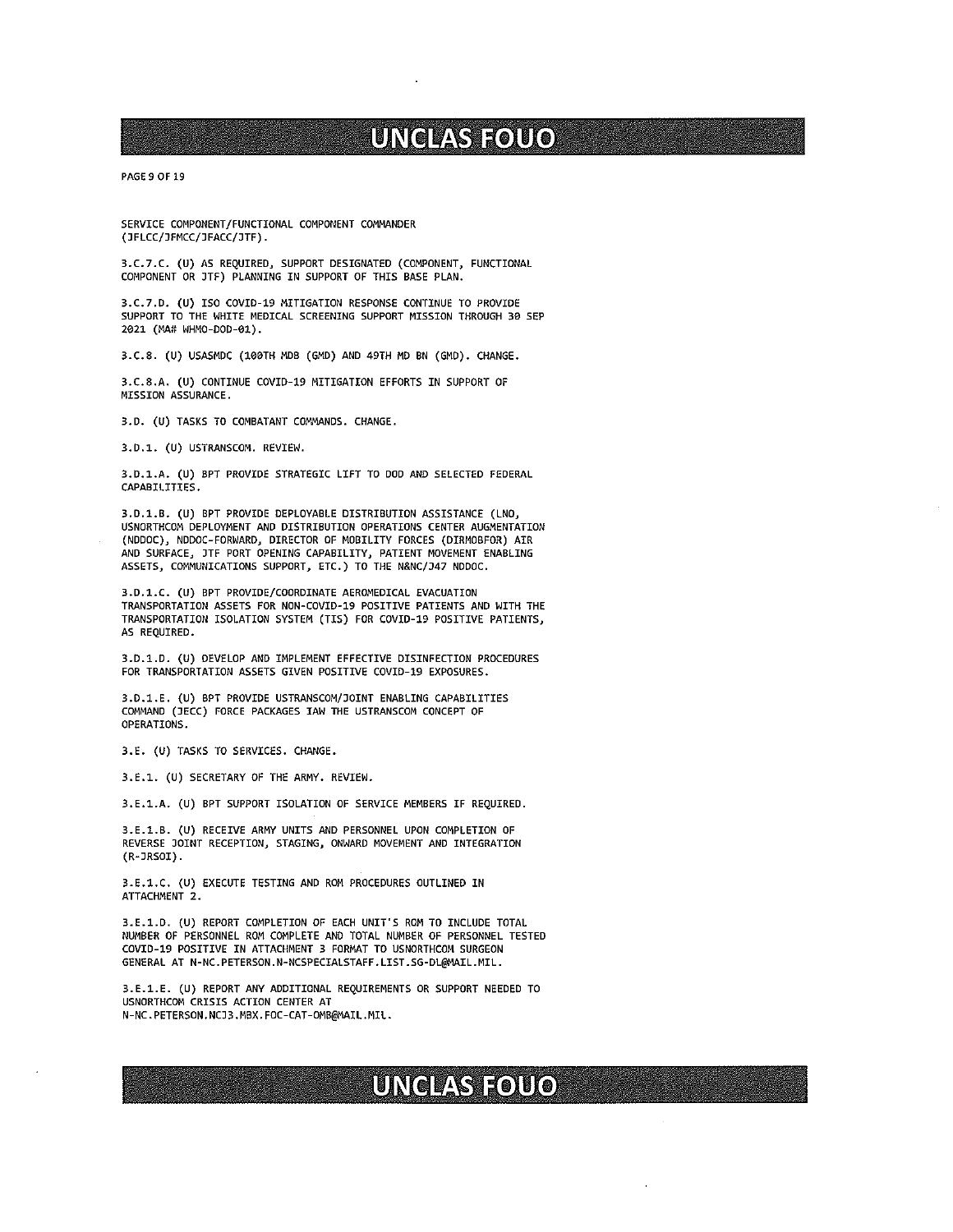PAGE 9 OF 19

SERVICE COMPONENT/FUNCTIONAL COMPONENT COMMANDER (JFLCC/JFMCC/JFACC/JTF).

3.C.7.C. (U) AS REQUIRED, SUPPORT DESIGNATED (COMPONENT, FUNCTIONAL COMPONENT OR JTF) PLANNING IN SUPPORT OF THIS BASE PLAN.

3.C.7.O. (U) ISO COVID-19 MITIGATION RESPONSE CONTINUE TO PROVIDE SUPPORT TO THE WHITE MEDICAL SCREENING SUPPORT MISSION THROUGH 39 SEP 2021 (MA# WHMO-DOD-01).

3.C.8. (U) USASMDC (100TH MDB (GMD) AND 49TH MD BN (GMD). CHANGE.

3.C.8.A. (U) CONTINUE COVID-19 MITIGATION EFFORTS IN SUPPORT OF MISSION ASSURANCE.

3.D. (U) TASKS TO COMBATANT COMMANDS. CHANGE.

3.D.1. (U) USTRANSCOM. REVIEW.

3.D.1.A. (U) BPT PROVIDE STRATEGIC LIFT TO DOD AND SELECTED FEDERAL CAPABILITIES.

3.D.1.B. (U) BPT PROVIDE DEPLOYABLE DISTRIBUTION ASSISTANCE (LNO, USNDRTHCOM DEPLOYNENT AND DISTRIBUTION OPERATIONS CENTER AUGMENTATION (N000C), N000C—FORWARD, DIRECTOR OF MOBILITY FORCES (DIRMOBFOR) AIR AND SURFACE, JTF PORT OPENING CAPABILITY, PATIENT MOVEMENT ENABLING ASSETS, COMMUNICATIONS SUPPORT, ETC.) TO THE N&NC/J47 N000C.

3.O.1.C. (U) BPT PROYIOE/COOROINATE AERONEDICAL EVACUATION TRANSPORTATION ASSETS FOR NON-COVID-19 POSITIVE PATIENTS AND WITH THE TRANSPORTATION ISOLATION SYSTEM (TIS) FOR COVIO-19 POSITIVE PATIENTS, AS REQUIRED.

3.0.1.0. (U) DEVELOP AWO INPLENENT EFFECTIVE DISINFECTION PROCEDURES FOR TRANSPORTATION ASSETS GIVEN POSITIVE COVIO-19 EXPOSURES.

3.D.1.E. (U) BPT PROVIDE USTRANSCOM/JOINT ENABLING CAPABILITIES COMMAND (JECC) FORCE PACKAGES lAW THE USTRANSCOM CONCEPT OF OPERATIONS.

3.E. (U) TASKS TO SERVICES. CHANGE.

3.E.1. (U) SECRETARY OF THE ARMY. REVIEW.

3.E.1.A. (U) BPT SUPPORT ISOLATION OF SERVICE NEMBERS IF REQUIRED.

3.E.1.B. (U) RECEIYE ARMY UNITS AND PERSONNEL UPON COMPLETION OF REVERSE JOINT RECEPTION, STAGING, ONWARD MOVEMENT AND INTEGRATION (R-JRSOI).

3.E.1.C. (U) EXECUTE TESTING AND RON PROCEDURES OUTLINED IN ATTACHMENT 2.

3.E.1.D. (U) REPORT COMPLETION OF EACH UNIT'S ROM TO INCLUDE TOTAL NUMBER OF PERSONNEL RON COMPLETE AND TOTAL NUMBER OF PERSONNEL TESTED COVIO-19 POSITIVE IN ATTACHMENT 3 FORMAT TO USNORTHCON SURGEON GENERAL AT N-NC.PETERSON.N-NCSPECIALSTAFF.LIST.SG-DL@MAIL.MIL.

3.E.1.E. (U) REPORT ANY AOOITIONAL REQUIREMENTS OR SUPPORT NEEDED TO USNORTHCOM CRISIS ACTION CENTER AT N-NC.PETERSON.NCJ3.MBX.FOC-CAT-OMB@MAIL.MIL.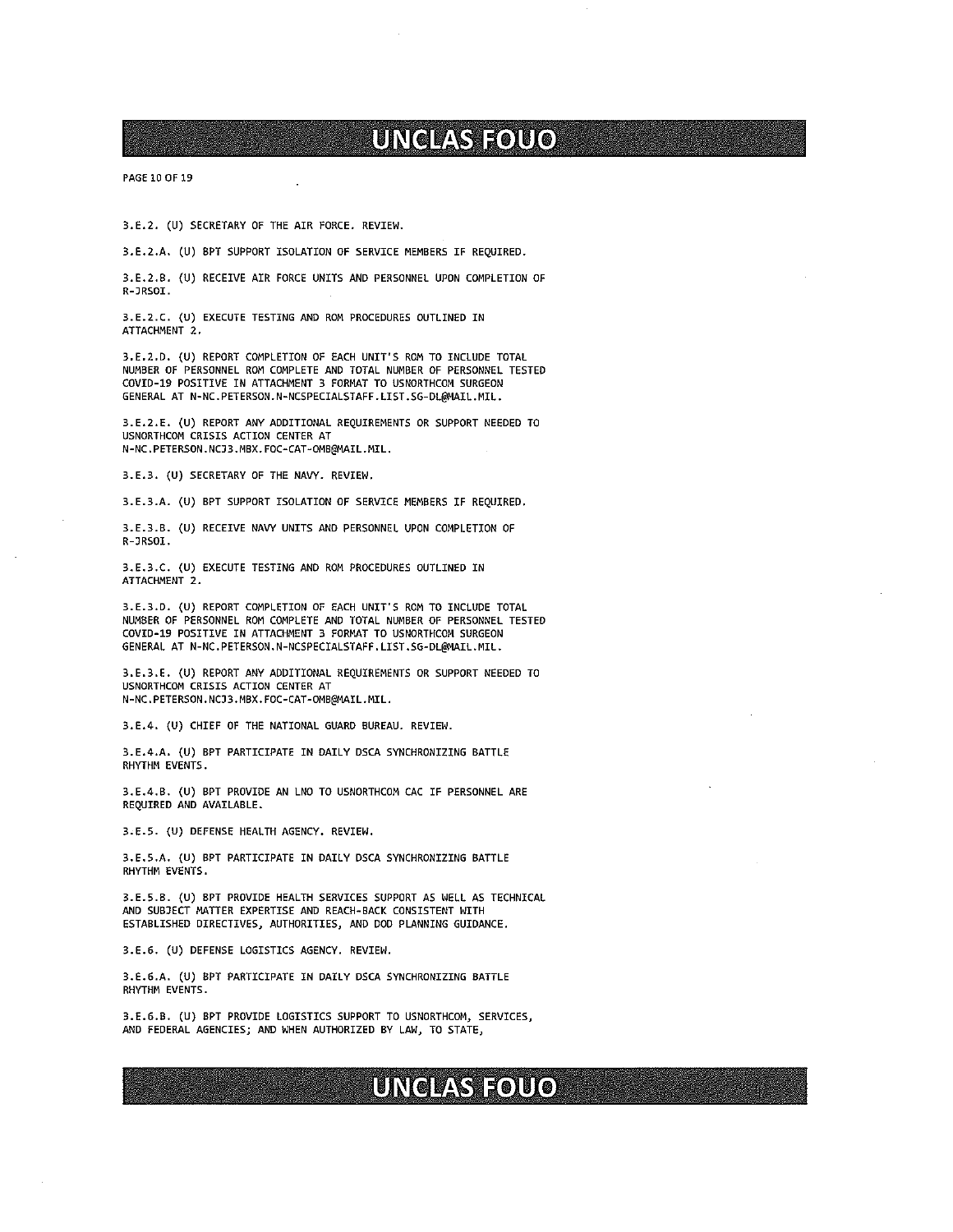PAGE 10 OF 19

3.E.2. (U) SECRETARY OF THE AIR FORCE. REVIEW.

3.E.2.A. (U) BPT SUPPORT ISOLATION OF SERVICE MEMBERS IF REQUIRED.

3.E.2.B. (U) RECEIVE AIR FORCE UNITS AND PERSONNEL UPON COMPLETION OF R-JRSDI.

3.E.2.C. (U) EXECUTE TESTING AND RON PROCEDURES OUTLINED IN ATTACHMENT 2.

3.E.2.D. (U) REPORT COMPLETION OF EACH UNIT'S RON TO INCLUDE TOTAL NUMBER OF PERSONNEL RON COMPLETE AND TOTAL NUMBER OF PERSONNEL TESTED COVID-19 POSITIVE IN ATTACHMENT <sup>3</sup> FORMAT TO USNORTHCOM SURGEON GENERAL AT N-NC.PETERSON.N-NCSPECIALSTAFF.LIST.SG-DL@MAIL.MIL.

3.E.2.E. (U) REPORT ANY ADDITIONAL REQUIREMENTS OR SUPPORT NEEDED TO USNORTHCOM CRISIS ACTION CENTER AT N-NC.PETERSON.NCJ3.MBX.FOC-CAT-OMB@MAIL.MIL.

3.E.3. (U) SECRETARY OF THE NAVY. REVIEW.

3.E.3.A. (U) BPT SUPPORT ISOLATION OF SERVICE MEMBERS IF REQUIRED.

3.E.3.B. (U) RECEIVE NAVY UNITS AND PERSONNEL UPON COMPLETION OF R-JRSOI.

3.E.3.C. (U) EXECUTE TESTING AND RON PROCEDURES OUTLINED IN ATTACHMENT 2.

3.E.3.D. (U) REPORT COMPLETION OF EACH UNIT'S RON TO INCLUDE TOTAL NUMBER OF PERSONNEL ROM COMPLETE AND TOTAL NUMBER OF PERSONNEL TESTED COVIO-19 POSITIVE IN ATTACHMENT <sup>3</sup> FORMAT TD USNORTHCON SURGEON GENERAL AT N-NC.PETERSON.N-NCSPECIALSTAFF.LIST.SG-DL@MAIL.MIL.

3.E.3.E. (U) REPORT ANY ADDITIONAL REQUIREMENTS OR SUPPORT NEEDED TO USNORTHCON CRISIS ACTION CENTER AT N-NC.PETERSON.NCJ3.MBX.FOC-CAT-OMB@MAIL.MIL.

3.E.4. (U) CHIEF OF THE NATIONAL GUARD BUREAU. REVIEW.

3.E.4.A. (U) BPT PARTICIPATE IN DAILY DSCA SYNCHRONIZING BATTLE RHYTHM EVENTS.

3.E.4.B. (U) BPT PROVIDE AN LNO TO USNORTHCON CAC IF PERSONNEL ARE REQUIRED AND AVAILABLE.

3.E.5. (U) DEFENSE HEALTH AGENCY. REYIEW.

3.E.5.A. (U) BPT PARTICIPATE IN DAILY DSCA SYNCHRONIZING BATTLE RHYTHM EVENTS.

3.E.5.B. (U) BPT PROVIDE HEALTH SERVICES SUPPORT AS WELL AS TECHNICAL AND SUBJECT MATTER EXPERTISE AND REACH-BACK CONSISTENT WITH ESTABLISHED DIRECTIVES, AUTHORITIES, AND DOD PLANNING GUIDANCE.

3.E.6. (U) DEFENSE LOGISTICS AGENCY. REVIEW.

3.E.6.A. (U) BPT PARTICIPATE IN DAILY DSCA SYNCHRONIZING BATTLE RHYTHM EVENTS.

3.E.6.B. (U) BPT PROVIDE LOGISTICS SUPPORT TO USNDRTHCDM, SERVICES, AND FEDERAL AGENCIES; AND WHEN AUTHORIZED BY LAW, TO STATE,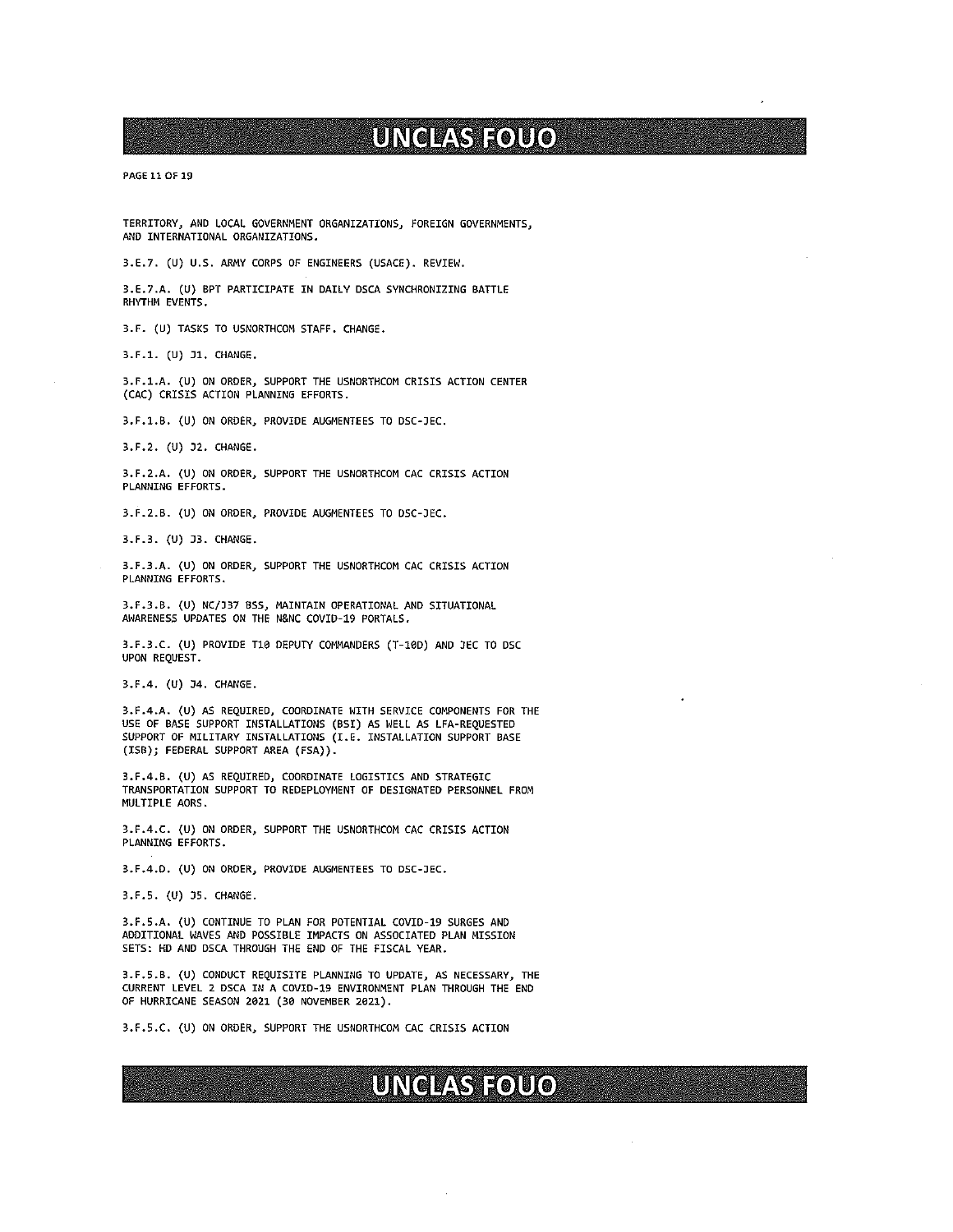PAGE 11 OF 19

TERRITORY, AND LOCAL GOVERNMENT ORGANIZATIONS) FOREIGN GDVERNMENTS, AND INTERNATIONAL ORGANIZATIONS.

3.E.7. (U) U.S. ARNY CORPS DF ENGINEERS (USACE). REVIEW.

3.E.7.A. (U) BPT PARTICIPATE IN DAILY DSCA SYNCHRONIZING BATTLE RHYTHN EVENTS.

3.F. (U) TASKS TO USNORTHCOM STAFF. CHANGE.

3.F.1. (U) 31. CHANGE.

3.F.1.A. (U) ON ORDER, SUPPORT THE USNORTHCOM CRISIS ACTION CENTER (CAC) CRISIS ACTION PLANNING EFFORTS.

3.F.1.B. (U) ON ORDER, PROVIDE AUGNENTEES TO DSC-JEC.

3.F.2. (U) 32. CHANGE.

3.F.2.A. (U) ON ORDER, SUPPORT THE USNORTHCOM CAC CRISIS ACTION PLANNING EFFORTS.

3.F.2.B. (U) ON ORDER, PROVIDE AUGMENTEES TO DSC-JEC.

3.F.3. (U) J3. CHANGE.

3.F.3.A. (U) ON ORDER, SUPPORT THE USNORTHCOM CAC CRISIS ACTION PLANNING EFFORTS.

3.F.3.B. (U) NC/337 BSS, MAINTAIN OPERATIONAL AND SITUATIONAL AWARENESS UPDATES ON THE N&NC COVID-19 PORTALS.

3.F.3.C. (U) PROVIDE T10 DEPUTY COMMANDERS (T-10D) AND JEC TO DSC UPON REQUEST.

3.F.4. (U) 34. CHANGE.

3.F.4.A. (U) AS REQUIRED, COORDINATE WITH SERVICE COMPONENTS FOR THE USE OF BASE SUPPORT INSTALLATIONS (BSI) AS WELL AS LFA-REQUESTED SUPPORT OF MILITARY INSTALLATIONS (I.E. INSTALLATION SUPPORT BASE (ISB); FEDERAL SUPPORT AREA (FSA)).

3.F.4.B. (U) AS REQUIRED, COORDINATE LOGISTICS AND STRATEGIC TRANSPDRTATION SUPPORT TO REDEPLOYMENT OF DESIGNATED PERSONNEL FRDN MULTIPLE AORS.

3.F.4.C. (U) ON ORDER, SUPPDRT THE USNORTHCOM CAC CRISIS ACTION PLANNING EFFORTS.

3.F.4.D. (U) ON ORDER, PROVIDE AUGNENTEES TO DSC-]EC.

3.F.S. (U) 35. CHANGE.

3.F.S.A. (U) CONTINUE TD PLAN FOR POTENTIAL COYID-19 SURGES AND ADDITIONAL WAVES AND POSSIBLE IMPACTS ON ASSOCIATED PLAN MISSION SETS: HD AND DSCA THROUGH THE END OF THE FISCAL YEAR.

3.F.5.B. (U) CONDUCT REQUISITE PLANNING TO UPDATE, AS NECESSARY, THE CURRENT LEVEL 2 DSCA IN A CDVID-19 ENVIRONMENT PLAN THROUGH THE END OF HURRICANE SEASON 2021 (30 NOVEMBER 2021).

3.F.S.C. (U) ON ORDER, SUPPDRT THE USNDRTHCON CAC CRISIS ACTION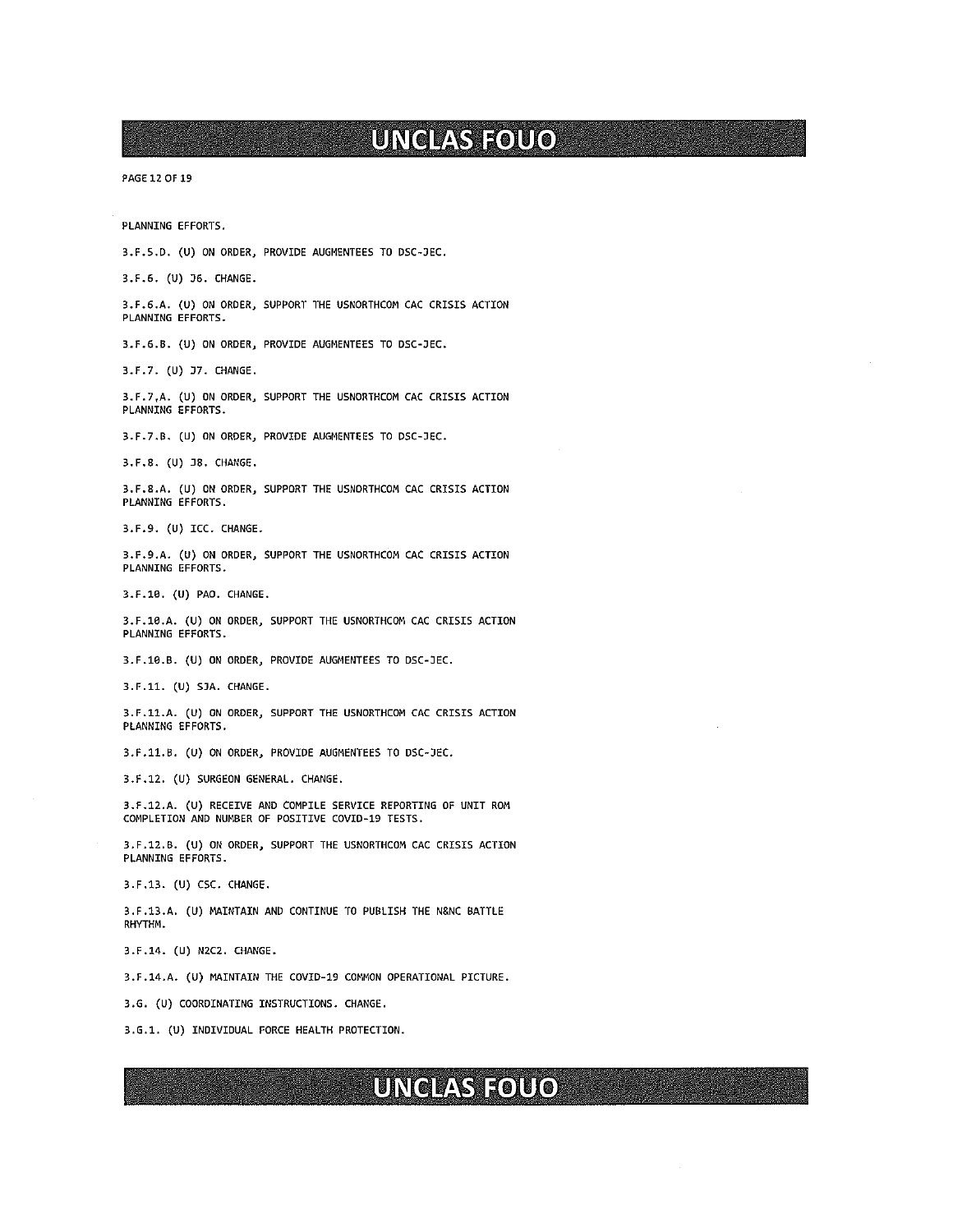PAGE 12 OF 19

PLANNING EFFORTS.

3.F.S.D. (U) ON ORDER, PROVIDE AUGMENTEES TO DSC-JEC.

3.F.6. (U) 36. CHANGE.

3.F.6.A. (U) ON ORDER, SUPPORT THE USNORTHCON CAC CRISIS ACTION PLANNING EFFORTS.

3.F.6.B. (U) ON ORDER, PROVIDE AUGMENTEES TO DSC-DEC.

3.F.7. (U) 37. CHANGE.

3.F.7~A. (U) ON ORDER, SUPPORT THE USNORTHCOM CAC CRISIS ACTION PLANNING EFFORTS.

3.F.7.B. (U) ON ORDER, PROVIDE AUGNENTEES TO DSC-JEC.

3.F.B. (U) 38. CHM1GE.

3.F.8.A. (U) ON ORDER, SUPPORT THE USNORTHCOM CAC CRISIS ACTION PLANNING EFFORTS.

3.F.9. (U) ICC. CHANGE.

3.F.9.A. (U) ON ORDER, SUPPORT THE USNORTHCON CAC CRISIS ACTION PLANNING EFFORTS.

3.F.1O. (U) PAO. CHANGE.

3.F.16.A. (U) ON ORDER, SUPPORT THE USNORTHCOM CAC CRISIS ACTION PLANNING EFFORTS.

3.F.1G.B. (U) ON ORDER, PROVIDE AUGNENTEES TO DSC-JEC.

3.F.11. (U) SJA. CHANGE.

3.F.11.A. (U) ON ORDER, SUPPORT THE USNDRTHCON CAC CRISIS ACTION PLANNING EFFORTS.

3.F.1l.B. (U) ON ORDER, PROVIDE AUGNENTEES TO DSC-JEC.

3.F.12. (U) SURGEON GENERAL. CHANGE.

3.F.12.A. (U) RECEIVE AND COMPILE SERVICE REPORTING OF UNIT RON COMPLETION AND NUMBER OF POSITIVE COVID-19 TESTS.

3.F.12.B. (U) ON ORDER, SUPPORT THE USNORTHCOM CAC CRISIS ACTION PLANNING EFFORTS.

3.F.13. (U) CSC. CHANGE.

3.F.13.A. (U) MAINTAIN AND CONTINUE TO PUBLISH THE N&NC BATTLE RHYTHM.

3.F.14. (U) NZC2. CHANGE.

3.F.14.A. (U) MAINTAIN THE COVID-19 COMMON OPERATIONAL PICTURE.

3.G. (U) COORDINATING INSTRUCTIONS. CHANGE.

3.G.1. (U) INDIVIDUAL FORCE HEALTH PROTECTION.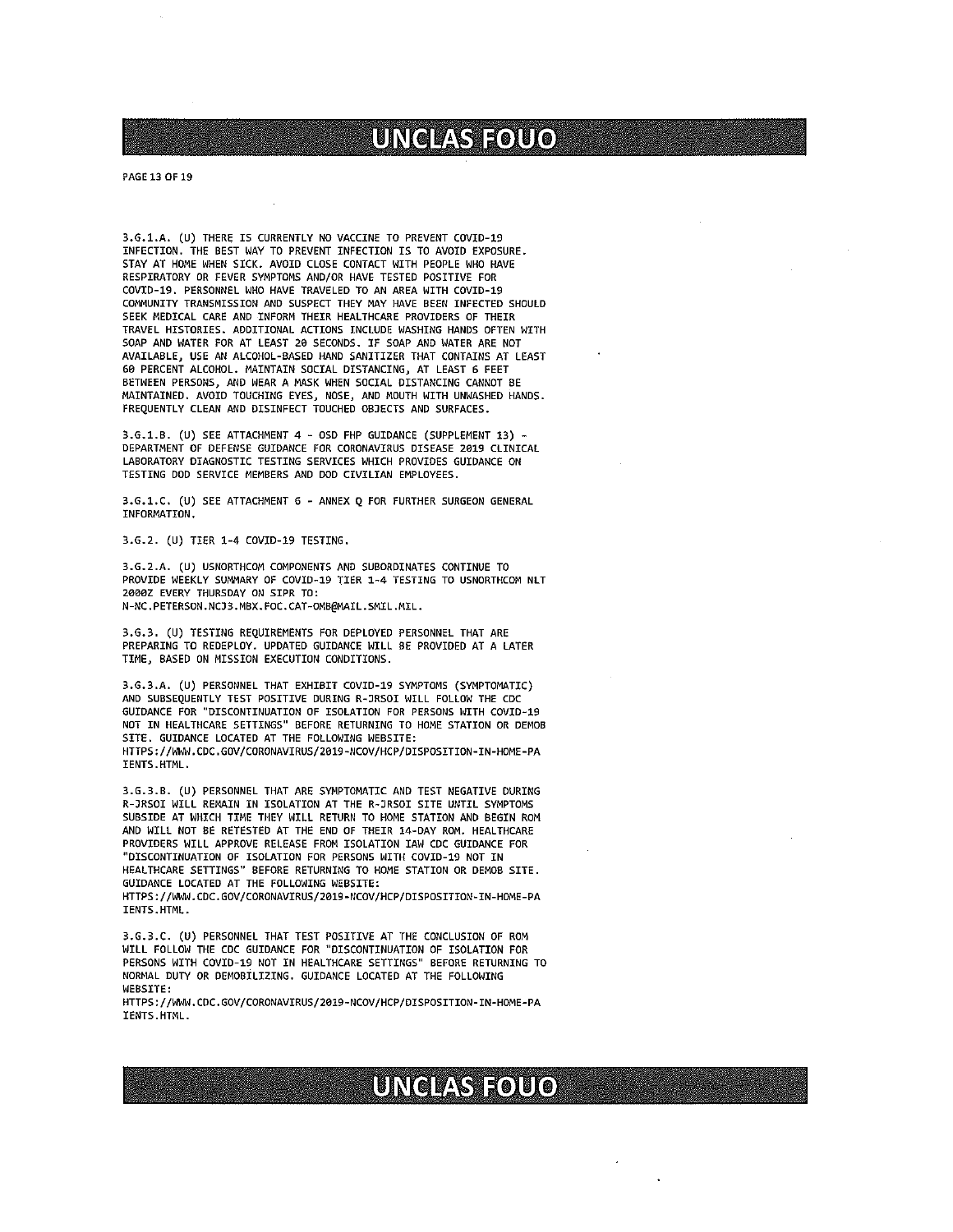PAGE 13 OF 19

3.G.1.A. (U) THERE IS CURRENTLY NO VACCINE TO PREVENT COVID-19 INFECTION. THE BEST WAY TO PREVENT INFECTION IS TO AVOIO EXPOSURE. STAY AT HOME WHEN SICK. AVOID CLOSE CONTACT WITH PEOPLE WHO HAVE RESPIRATORY OR FEVER SYMPTONS AND/OR HAVE TESTEO POSITIVE FOR COVIO-19. PERSONNEL WHO HAVE TRAVELEO TO AN AREA WITH COVID-19 COMMUNITY TRANSMISSION AND SUSPECT THEY MAY HAVE BEEN INFECTED SHOULD SEEK MEDICAL CARE AND INFORM THEIR HEALTHCARE PROVIDERS OF THEIR TRAVEL HISTORIES. ADDITIONAL ACTIONS INCLUOE WASHING HANDS OFTEN WITH SOAP AND WATER FOR AT LEAST 20 SECONDS. IF SOAP AND WATER ARE NOT AVAILABLE, USE AN ALCOHOL-BASED HAND SANITIZER THAT CONTAINS AT LEAST 60 PERCENT ALCOHOL. MAINTAIN SOCIAL DISTANCING, AT LEAST 6 FEET BETWEEN PERSONS, AND WEAR A MASK WHEN SOCIAL DISTANCING CANNOT BE MAINTAINED. AVOID TOUCHING EYES, NOSE, AND MOUTH WITH UNWASHED HANDS. FREQUENTLY CLEAN AND DISINFECT TOUCHED OBJECTS AND SURFACES.

3.G.1.B. (U) SEE ATTACHMENT 4 - 050 FHP GUIDANCE (SUPPLEMENT 13) - OEPARTMENT OF DEFENSE GUIDANCE FOR CORONAVIRUS DISEASE 2019 CLINICAL LABORATORY DIAGNOSTIC TESTING SERVICES WHICH PROVIDES GUIDANCE ON TESTING DOD SERVICE MEMBERS AND DOD CIVILIAN EMPLOYEES.

3.G.1.C. (U) SEE ATTACHMENT <sup>6</sup> - ANNEX <sup>Q</sup> FOR FURTHER SURGEON GENERAL INFORMATION.

3.6.2. (U) TIER 1-4 COVID-19 TESTING.

3.G.2.A. (U) USNORTHCOM COMPONENTS AND SUBORDINATES CONTINUE TO PROVIDE WEEKLY SUMMARY OF COVID-19 TIER 1-4 TESTING TO USNORTHCOM NLT 2000Z EVERY THURSDAY ON SIPR TO: N-NC.PETERSON.NCJ3.MBX.FOC.CAT-OMB@MAIL.SMIL.MIL.

3.G.3. (U) TESTING REQUIREMENTS FOR DEPLOYED PERSONNEL THAT ARE PREPARING TO REDEPLOY. UPDATED GUIDANCE WILL BE PROVIDED AT A LATER TIME, BASED ON MISSION EXECUTION CONDITIONS.

3.G.3.A. (U) PERSONNEL THAT EXHIBIT COVIO-19 SYMPTOMS (SYMPTOMATIC) AND SUBSEQUENTLY TEST POSITIVE DURING R-JRSOI WILL FOLLOW THE COC GUIDANCE FOR 'OISCONTINUATION OF ISOLATION FOR PERSONS WITH COVIO-19 NOT IN HEALTHCARE SETTINGS" BEFORE RETURNING TO HOME STATION OR DEMOB SITE. GUIDANCE LOCATED AT THE FOLLOWING WEBSITE: HTTPS://WWW.CDC.GOV/CORONAVIRUS/2019-NCOV/HCP/DISPOSITION-IN-HOME-PA IENTS.HTML.

3.G.3.B. (U) PERSONNEL THAT ARE SYMPTOMATIC AND TEST NEGATIVE DURING R-JRSOI WILL REMAIN IN ISOLATION AT THE R-JRSOI SITE UNTIL SYMPTOMS SUBSIDE AT WHICH TIME THEY WILL RETURN TO HOME STATION AND BEGIN RON AND WILL NOT BE RETESTED AT THE ENO OF THEIR 14-DAY RON. HEALTHCARE PROVIDERS WILL APPROVE RELEASE FROM ISOLATION IAW CDC GUIDANCE FOR "DISCONTINUATION OF ISOLATION FOR PERSONS WITH COVID-19 NOT IN<br>HEALTHCARE SETTINGS" BEFORE RETURNING TO HOME STATION OR DEMOB SITE. GUIDANCE LOCATED AT THE FOLLOWING WEBSITE: HTTPS: //kWW.COC. GOV/CORONAVIRUSJ2O1B-NCOV/HCP/DISP0SITI0N-IN-H0ME-PA IENTS.HTML.

3.G.3.C. (U) PERSONNEL THAT TEST POSITIVE AT THE CONCLUSION OF RON WILL FOLLOW THE COC GUIDANCE FOR "DISCONTINUATION OF ISOLATION FOR PERSONS WITH COVIO—19 NOT IN HEALTHCARE SETTINGS" BEFORE RETURNING TO NORMAL DUTY OR DEMOBILIZING. GUIDANCE LOCATED AT THE FOLLOWING WEBSITE:

HTTPS : //WWW. CDC.GOV/CORONAVIRUSJ2O19-NCOV/HCP/OISPOSITION-IN-HONE-PA IENTS . HTML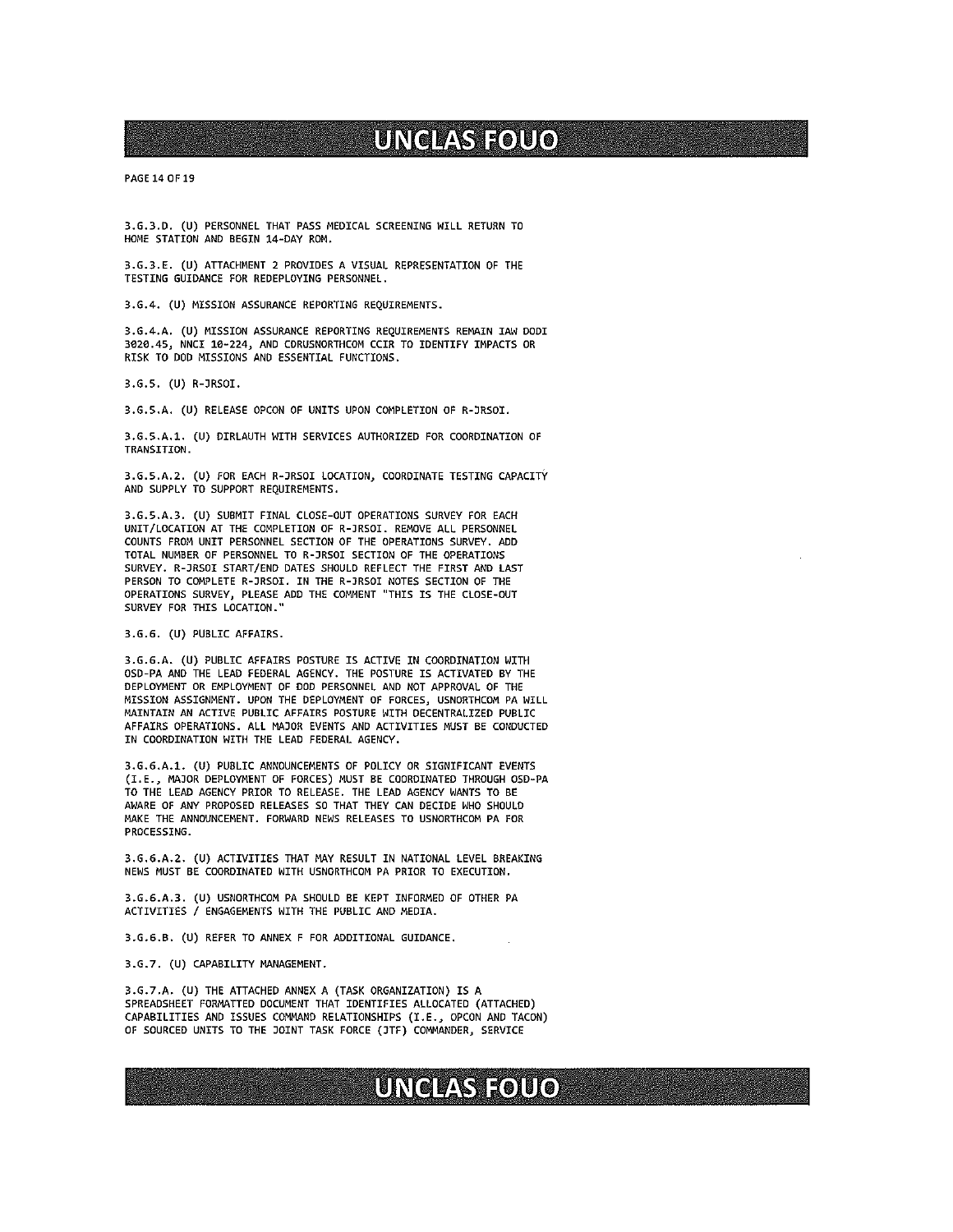PAGE 14 OF 19

3.G.3.D. (U) PERSONNEL THAT PASS MEDICAL SCREENING WILL RETURN TO HOME STATION AND BEGIN 14-DAY RON.

3.G.3.E. (U) ATTACHMENT <sup>2</sup> PROVIDES <sup>A</sup> VISUAL REPRESENTATION OF THE TESTING GUIDANCE FOR REDEPLOYING PERSONNEL.

3.G.4. (U) NISSION ASSURANCE REPORTING REQUIREMENTS.

3.G.4.A. (U) MISSION ASSURANCE REPORTING REQUIREMENTS REMAIN IAN 0001 3020.4S, NNCI 10-224, AND CDRUSNORTHCOM CCIR TO IDENTIFY IMPACTS OR RISK TO DOD MISSIONS AND ESSENTIAL FUNCTIOMS.

3.G.S. (U) R-JRSOI.

3.G.S.A. (U) RELEASE OPCON OF UNITS UPON COMPLETION OF R-JRSDI.

3.G.S.A.1. (U) DIRLAUTH WITH SERVICES AUTHORIZED FOR COORDINATION OF TRANSITION.

3.G.S.A.2. (U) FOR EACH R-JRSOI LOCATION, COORDINATE TESTING CAPACITY AND SUPPLY TO SUPPORT REQUIREMENTS.

3.G.S.A.3. (U) SUBMIT FINAL CLOSE-OUT OPERATIONS SURVEY FOR EACH UNIT/LOCATION AT THE COMPLETION OF R-]RSOI. REMOVE ALL PERSONNEL COUNTS FROM UNIT PERSONNEL SECTION OF THE OPERATIONS SURVEY. ADD TOTAL NUMBER OF PERSONNEL TO R-JRSOI SECTION OF THE OPERATIONS SURVEY. R-JRSOI START/END DATES SHOULD REFLECT THE FIRST AND LAST PERSON TO COMPLETE R-JRSDI. IN THE R-)RSOI NOTES SECTION OF THE OPERATIONS SURVEY, PLEASE ADD THE COMMENT THIS IS THE CLOSE-OUT SURVEY FDR THIS LOCATION."

3.6.6. (U) PUBLIC AFFAIRS.

3.G.6.A. (U) PUBLIC AFFAIRS POSTURE IS ACTIVE IN COORDINATION WITH OSD-PA AND THE LEAD FEDERAL AGENCY. THE POSTURE IS ACTIVATED BY THE DEPLOYMENT OR EMPLOYMENT OF DOD PERSONNEL AND NOT APPROVAL OF THE MISSION ASSIGNMENT. UPON THE DEPLOYMENT OF FORCES, USNORTHCOM PA WILL MAINTAIN AN ACTIVE PUBLIC AFFAIRS POSTURE WITH DECENTRALIZED PUBLIC AFFAIRS OPERATIONS. ALL MAJOR EVENTS AND ACTIVITIES MUST BE CONDUCTED IN COORDINATION WITH THE LEAD FEDERAL AGENCY.

3.G.6.A.1. (U) PUBLIC ANMOUNCEMENTS OF POLICY OR SIGNIFICANT EVENTS (I.E., MAJOR DEPLOYMENT OF FORCES) MUST BE COORDINATED THROUGH OSD—PA TO THE LEAD AGENCY PRIOR TO RELEASE. THE LEAD AGENCY WANTS TO BE AWARE OF ANY PROPOSED RELEASES SO THAT THEY CAN DECIDE WHO SHOULD MAKE THE ANNOUNCEMENT. FORWARD NEWS RELEASES TO USMORTHCDM PA FOR PROCESSING.

3.G.6.A.2. (U) ACTIVITIES THAT MAY RESULT IN NATIONAL LEVEL BREAKING MEWS MUST BE COORDINATED WITH USNORTHCDM PA PRIOR TO EXECUTION.

3.G.6.A.3. (U) USMORTHCOM PA SHOULD BE KEPT INFORMED OF OTHER PA ACTIVITIES / ENGAGEMENTS WITH THE PUBLIC AND MEDIA.

3.G.6.B. (U) REFER TO ANNEX <sup>F</sup> FOR ADDITIONAL GUIDANCE.

3.6.7. (U) CAPABILITY MANAGEMENT.

3.G.7.A. (U) THE ATTACHED ANNEX <sup>A</sup> (TASK ORGANIZATION) IS <sup>A</sup> SPREADSHEET FORMATTED DOCUMENT THAT IDENTIFIES ALLOCATED (ATTACHED) CAPABILITIES AND ISSUES COMMANO RELATIONSHIPS (I.E., OPCOW AND TACDN) OF SOURCED UNITS TO THE JOINT TASK FORCE (JTF) COMMANDER, SERVICE

# UNCLAS FOUO

**Biscs**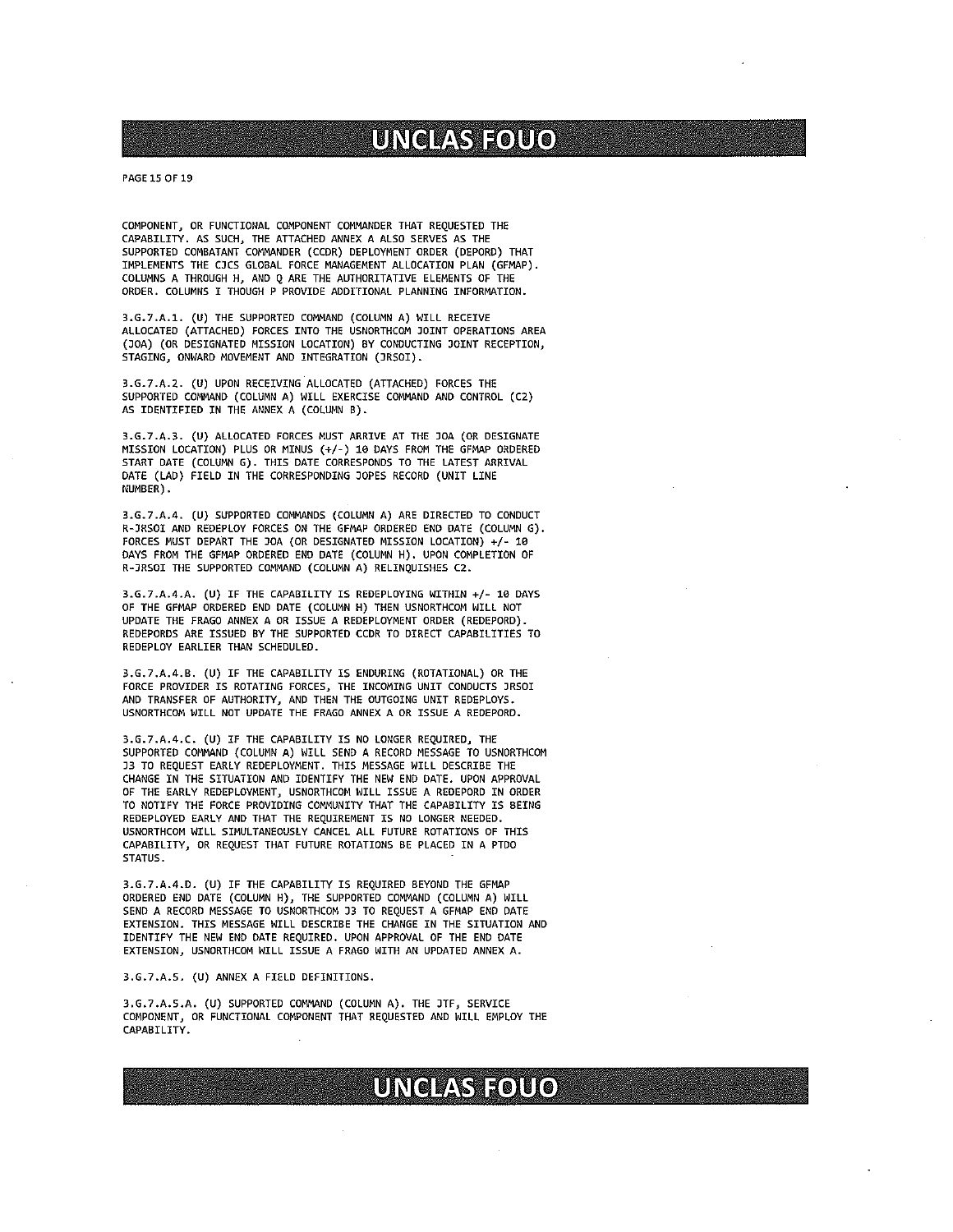### PAGE 15 OF 19

COMPONENT, OR FUNCTIONAL COMPONENT COMMANDER THAT REQUESTED THE CAPABILITY. AS SUCH, THE ATTACHED ANNEX A ALSO SERVES AS THE SUPPORTED COMBATANT COMMANDER (CCDR) DEPLOYMENT ORDER (DEPORD) THAT IMPLEMENTS THE CJCS GLOBAL FORCE MANAGEMENT ALLOCATION PLAN (GFMAP). COLUMNS A THROUGH H, AMD <sup>Q</sup> ARE THE AUTHORITATIVE ELEMENTS OF THE ORDER. COLUNWS I THOUGH <sup>P</sup> PROVIDE ADDITIONAL PLANNING INFORMATION.

3.G.7.A.1. (U) THE SUPPORTED COMMAND (COLUMN A) WILL RECEIVE ALLOCATED (ATTACHED) FORCES INTO THE USNORTHCOM JOINT OPERATIONS AREA (DOA) (OR DESIGNATED MISSION LOCATION) BY CONDUCTING JOINT RECEPTION, STAGING, ONWARD MOVEMENT AND INTEGRATION (JRSOI).

3.G.7.A.2. (U) UPON RECEIVING ALLOCATED (ATTACHED) FORCES THE SUPPORTED COMMAND (COLUMN A) WILL EXERCISE COMMAND AND CONTROL (C2) AS IDENTIFIED IN THE ANNEX A (COLUMN B).

3.G.7.A.3. (U) ALLOCATED FORCES MUST ARRIVE AT THE JDA (OR DESIGNATE MISSION LOCATION) PLUS OR MINUS (+/-) 10 DAYS FROM THE GFMAP ORDERED START DATE (COLUMN G). THIS DATE CORRESPONDS TO THE LATEST ARRIVAL DATE (LAD) FIELD IN THE CORRESPONDING JOPES RECORD (UNIT LINE NUMBER).

3.G.7.A.4. (U) SUPPDRTED COMMANDS (COLUMN A) ARE DIRECTED TD CONDUCT R-JRSOI AND REDEPLOY FORCES ON THE GFMAP ORDERED END DATE (COLUMN G). FORCES MUST DEPART THE JOA (OR DESIGNATED MISSION LOCATION) +/- 10 DAYS FROM THE GFM4P ORDERED END DATE (COLUNN H). UPON COMPLETION OF R-JRSOI THE SUPPORTED COMMAND (COLUMN A) RELINQUISHES C2.

3.G.7.A.4.A. (U) IF THE CAPABILITY IS REDEPLOYING WITHIN +1- 10 DAYS OF THE GFMAP ORDERED END DATE (COLUMN H) THEN USNORTHCOM WILL NOT UPDATE THE FRAGO ANNEX A OR ISSUE A REDEPLOYMENT ORDER (REDEPORD). REDEPORDS ARE ISSUED BY THE SUPPORTED CCDR TO DIRECT CAPABILITIES TO REDEPLOY EARLIER THAN SCHEDULED.

3.G.7.A.4.B. (U) IF THE CAPABILITY IS ENDURING (ROTATIONAL) OR THE FORCE PROVIDER IS ROTATING FORCES, THE INCOMING UNIT CONDUCTS JRSOI AND TRANSFER OF AUTHORITY, AND THEM THE OUTGOING UNIT REDEPLOYS. USNDRTHCOM WILL NOT UPDATE THE FRAGO ANNEX A DR ISSUE A REDEPORD.

3.G.7.A.4.C. (U) IF THE CAPABILITY IS ND LONGER REQUIRED, THE SUPPORTED COMMAND (COLUMN A) WILL SEND A RECORD MESSAGE TO USNORTHCOM J3 TO REQUEST EARLY REDEPLOYMENT. THIS MESSAGE WILL DESCRIBE THE CHANGE IN THE SITUATION AND IDENTIFY THE NEW END DATE. UPON APPROVAL OF THE EARLY REDEPLOYMENT, USNORTHCOM WILL ISSUE A REDEPDRD IN ORDER TO NOTIFY THE FORCE PROVIDING COMMUNITY THAT THE CAPABILITY IS BEING REDEPLOYED EARLY AND THAT THE REQUIREMENT IS NO LONGER NEEDED. USNORTHCOM WILL SIMULTANEOUSLY CANCEL ALL FUTURE ROTATIONS OF THIS CAPABILITY, OR REQUEST THAT FUTURE ROTATIONS BE PLACED IN <sup>A</sup> PTDO STATUS.

3.G.7.A.4.D. (U) IF THE CAPABILITY IS REQUIRED BEYOND THE GFMAP ORDERED END DATE (COLUMN H), THE SUPPORTED COMMAND (COLUMN A) WILL SEND A RECORD MESSAGE TO USNORTHCON J3 TO REQUEST A GFMAP END DATE EXTENSION. THIS MESSAGE WILL DESCRIBE THE CHANGE IN THE SITUATION AND IDENTIFY THE NEW END DATE REQUIRED. UPON APPROVAL OF THE END DATE EXTENSION, USNORTHCOM WILL ISSUE A FRAGO WITH AN UPDATED ANNEX A.

#### 3.G.7.A.S. (U) ANNEX <sup>A</sup> FIELD DEFINITIONS.

3.G.7.A.S.A. (U) SUPPORTED COMMAND (COLUMN A). THE JTF, SERVICE COMPONENT, OR FUNCTIONAL COMPDNENT THAT REQUESTED AND WILL EMPLOY THE CAPABILITY.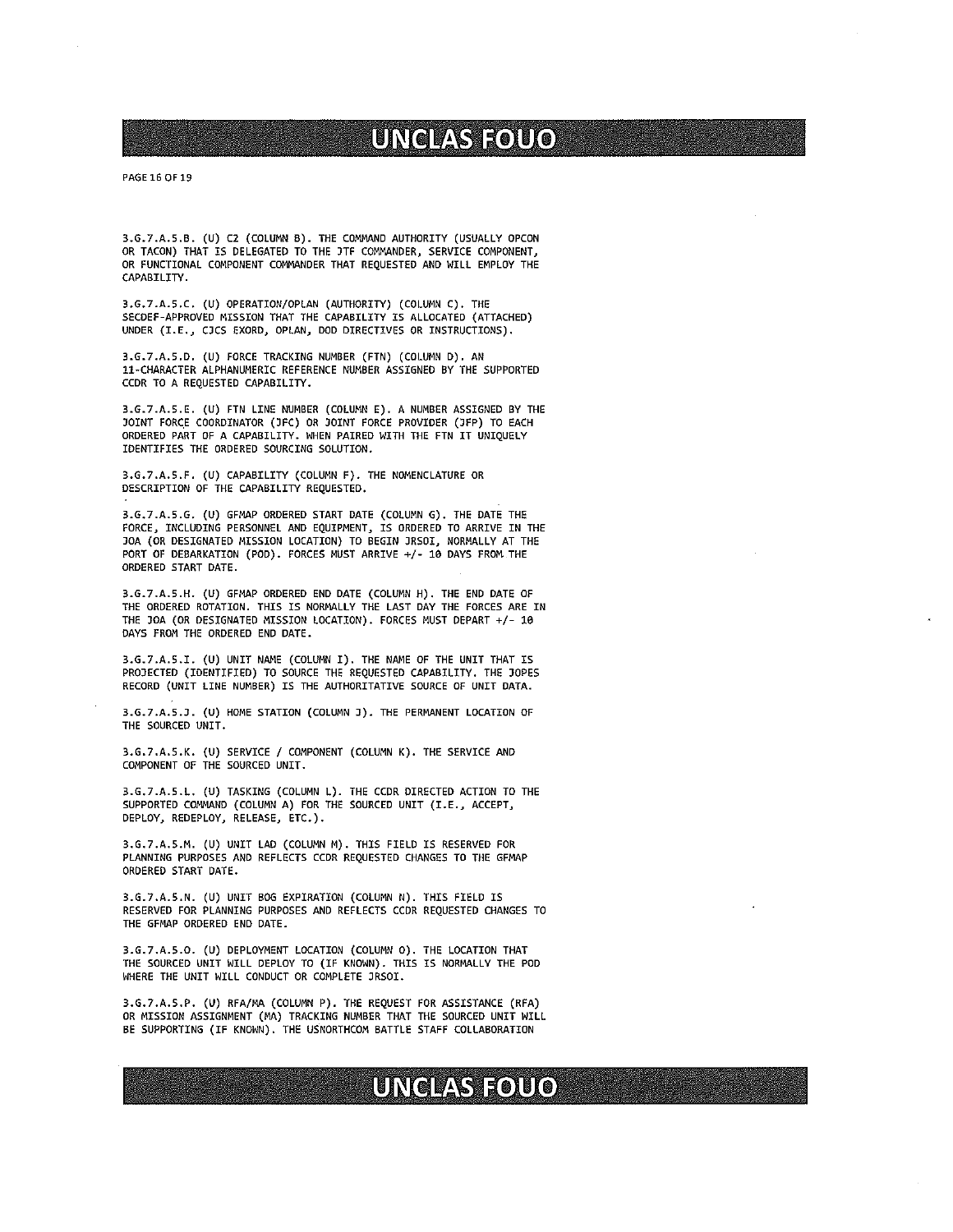#### PAGE 16 OF 19

3.G.7.A.S.B. (U) C2 (COLUMN B). THE COMMAND AUTHORITY (USUALLY OPCON OR TACON) THAT IS DELEGATED TO THE JTF COMMANDER, SERVICE COMPONENT, OR FUNCTIONAL COMPONENT COMMANDER THAT REQUESTEO AND WILL EMPLOY THE CAPABILITY.

3.G.7.A.5.C. (U) OPERATION/OPLAN (AUTHORITY) (COLUMN C). THE SECDEF-APPROVED MISSION THAT THE CAPABILITY IS ALLOCATED (ATTACHED) UNDER (I.E., CJCS EXORD, OPLAM, DOD DIRECTIVES OR INSTRUCTIONS).

3.G.7.A.5.D. (U) FORCE TRACKING NUMBER (FTN) (COLUMN 0). AN 11-CHARACTER ALPHANUMERIC REFERENCE NUMBER ASSIGNED BY THE SUPPORTED CCDR TO A REQUESTED CAPABILITY.

3.G.7.A.S.E. (U) FTN LINE NUMBER (COLUMN E). <sup>A</sup> NUMBER ASSIGNED BY THE JOINT FoRcE COORDINATOR (JFC) OR JOINT FORCE PROVIDER (JFP) TO EACH ORDERED PART OF <sup>A</sup> CAPABILITY. WHEN PAIRED WITH THE FTN IT UNIQUELY IDENTIFIES THE ORDERED SOURCING SOLUTION.

3.G.7.A.S.F. (U) CAPABILITY (COLUMN F). THE NOMENCLATURE OR DESCRIPTION OF THE CAPABILITY REQUESTED.

3.G.7.A.5.G. (U) GFMAP ORDERED START DATE (COLUMN G). THE DATE THE FORCE, INCLUDING PERSONNEL AND EQUIPMENT, IS ORDERED TO ARRIVE IN THE JOA (OR DESIGNATED MISSION LOCATION) TO BEGIN JRSOI, NORMALLY AT THE PORT OF DEBARKATION (POD). FORCES MUST ARRIVE +/- 10 DAYS FROM THE ORDERED START DATE.

3.G.7.A.5.H. (U) GFMAP ORDERED END DATE (COLUMN H). THE END DATE OF THE ORDERED ROTATION. THIS IS NORMALLY THE LAST DAY THE FORCES ARE IN THE JOA (OR DESIGNATED MISSION LOCATION). FORCES MUST DEPART +/- 10 DAYS FROM THE ORDERED END DATE.

3.G.7.A.S.I. (U) UNIT NAME (COLUMN I). THE NAME OF THE UNIT THAT IS PROJECTED (IDENTIFIED) TO SOURCE THE REQUESTED CAPABILITY. THE JOPES RECORD (UNIT LINE NUMBER) IS THE AUTHORITATIVE SOURCE OF UNIT DATA.

3.G.7.A.S.J. (U) HOME STATION (COLUMN J). THE PERMANENT LOCATION OF THE SOURCED UNIT.

3.G.7.A.5.K. (U) SERVICE / COMPONENT (COLUMN K). THE SERVICE AND COMPONENT OF THE SOURCED UNIT.

3.G.7.A.5.L. (U) TASKING (COLUMN L). THE CCDR DIRECTED ACTION TO THE SUPPORTED COMMAND (COLUMN A) FOR THE SOURCED UNIT (I.E., ACCEPT, DEPLOY, REDEPLOY, RELEASE, ETC.).

3.G.7.A.S.N. (U) UNIT LAD (COLUMN N). THIS FIELD IS RESERVED FOR PLANNING PURPOSES AND REFLECTS CCDR REQUESTED CHANGES TO THE GFMAP ORDERED START DATE.

3.G.1.A.5.N. (U) UNIT BOG EXPIRATION (COLUMN N). THIS FIELD IS RESERVED FOR PLANNING PURPOSES AND REFLECTS CCDR REQUESTED CHANGES TO THE GFMAP ORDERED END DATE.

3.G.7.A.5.O. (U) DEPLOYMENT LOCATION (COLUMN 0). THE LOCATION THAT THE SOURCED UNIT WILL DEPLOY TO (IF KNONN). THIS IS NORMALLY THE POD WHERE THE UNIT WILL CONDUCT OR COMPLETE JRSOI.

3.G.7.A.S.P. (U) RFA/MA (COLUMN P). THE REQUEST FOR ASSISTANCE (RFA) OR MISSION ASSIGNMENT (MA) TRACKING NUMBER THAT THE SOURCED UNIT WILL BE SUPPORTING (IF KNOWN). THE USWORTHCOM BATTLE STAFF COLLABORATION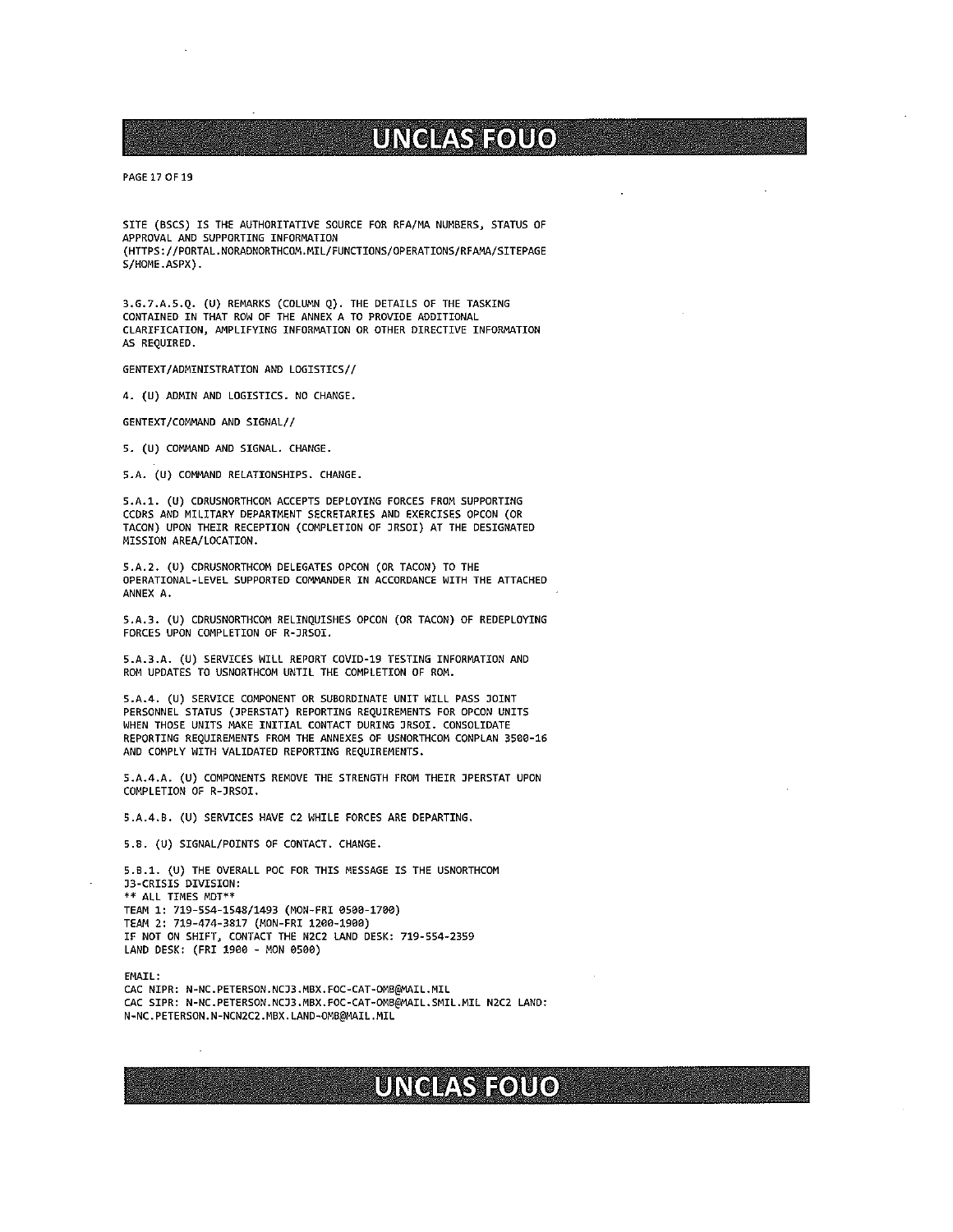PAGE 17 OF 19

SITE (BSCS) IS THE AUTHORITATIVE SOURCE FOR RFA/MA NUMBERS, STATUS OF APPROVAL AND SUPPORTING INFORMATION (HTTPS://PORTAL.NORADNORTHCOM.MIL/FUNCTIONS/OPERATIONS/RFAMA/SITEPAGE  $S/HOME$ . ASPX $)$ .

3.G.7.A.5.Q. (U) REMARKS (COLUMN Q). THE DETAILS OF THE TASKING CONTAINED IN THAT ROW OF THE ANNEX A TO PROVIDE ADDITIONAL CLARIFICATION, NIPLIFYING INFORMATION OR OTHER DIRECTIVE INFORMATION AS REQUIRED.

GENTEXT/ADMINISTRATION AND LOGISTICS//

4. (U) ADNIN AND LOGISTICS. NO CHANGE.

GENTEXT/COMMAND AND SIGNAL//

S. (U) COMNAND AND SIGNAL. CHANGE.

S.A. (U) COMMAND RELATIONSHIPS. CHANGE.

S.A.1. (U) CDRUSNORTHCOM ACCEPTS DEPLOYING FORCES FROM SUPPORTING CCDRS AND MILITARY DEPARTMENT SECRETARIES AND EXERCISES OPCON (OR TACON) UPON THEIR RECEPTION (COMPLETION OF JRSOI) AT THE DESIGNATED MISSION AREA/LOCATION.

SAl. (U) CDRUSNORTHCOM DELEGATES OPCON (OR TACON) TO THE OPERATIONAL-LEVEL SUPPORTED COMMANDER IN ACCORDANCE WITH THE ATTACHED ANNEX A.

S.A.3. (U) CDRUSNORTHCOM RELINQUISHES OPCON (OR TACON) OF REDEPLOYING FORCES UPON COMPLETION OF R-JRSOI.

S.A.3.A. (U) SERVICES WILL REPORT COVID-19 TESTING INFORMATION AND RON UPDATES TO USNORTHCOM UNTIL THE COMPLETION OF ROM.

S.A.4. (U) SERVICE COMPONENT OR SUBORDINATE UNIT WILL PASS JOINT PERSONNEL STATUS (JPERSTAT) REPORTING REQUIREMENTS FOR OPCON UNITS WHEN THOSE UNITS MAKE INITIAL CONTACT DURING JRSOI. CONSOLIDATE REPORTING REQUIREMENTS FROM THE ANNEXES OF USNORTHCOM COMPLAN 3500-16 AND COMPLY WITH VALIDATED REPORTING REQUIREMENTS.

5.A.4.A. (U) COMPONENTS REMOVE THE STRENGTH FROM THEIR JPERSTAT UPON COMPLETION OF R—JRSOI.

S.A.4.B. (U) SERVICES HAVE C2 WHILE FORCES ARE DEPARTING.

SB. (U) SIGNAL/POINTS OF CONTACT. CHANGE.

5.8.1. (U) THE OVERALL POC FOR THIS MESSAGE IS THE USNORTHCOM 33-CRISIS DIVISION: \*\* ALL TIMES MDT\*\* TEN4 1: 719-554-1548/1493 (MON-FRI 0500-1700) TEN4 2: 719—474-3817 (MOM-FRI 1200-1900) IF NOT ON SHIFT, CONTACT THE NZC2 LAND OESK: 719-554—2359 LAND DESK: (FRI 1900 - MON 0500)

**EMATI:** 

CAC NIPR: N-NC.PETERSON.NCJ3.MBX.FOC-CAT-OMB@MAIL.MIL CAC SIPR: N-NC.PETERSON.MCJ3.MBX.FOC-CAT-OMB@MAIL.SMIL .MIL M2C2 LAND:N-NC.PETERSON.N-NCN2C2.MBX.LAND-OMB@MAIL.MIL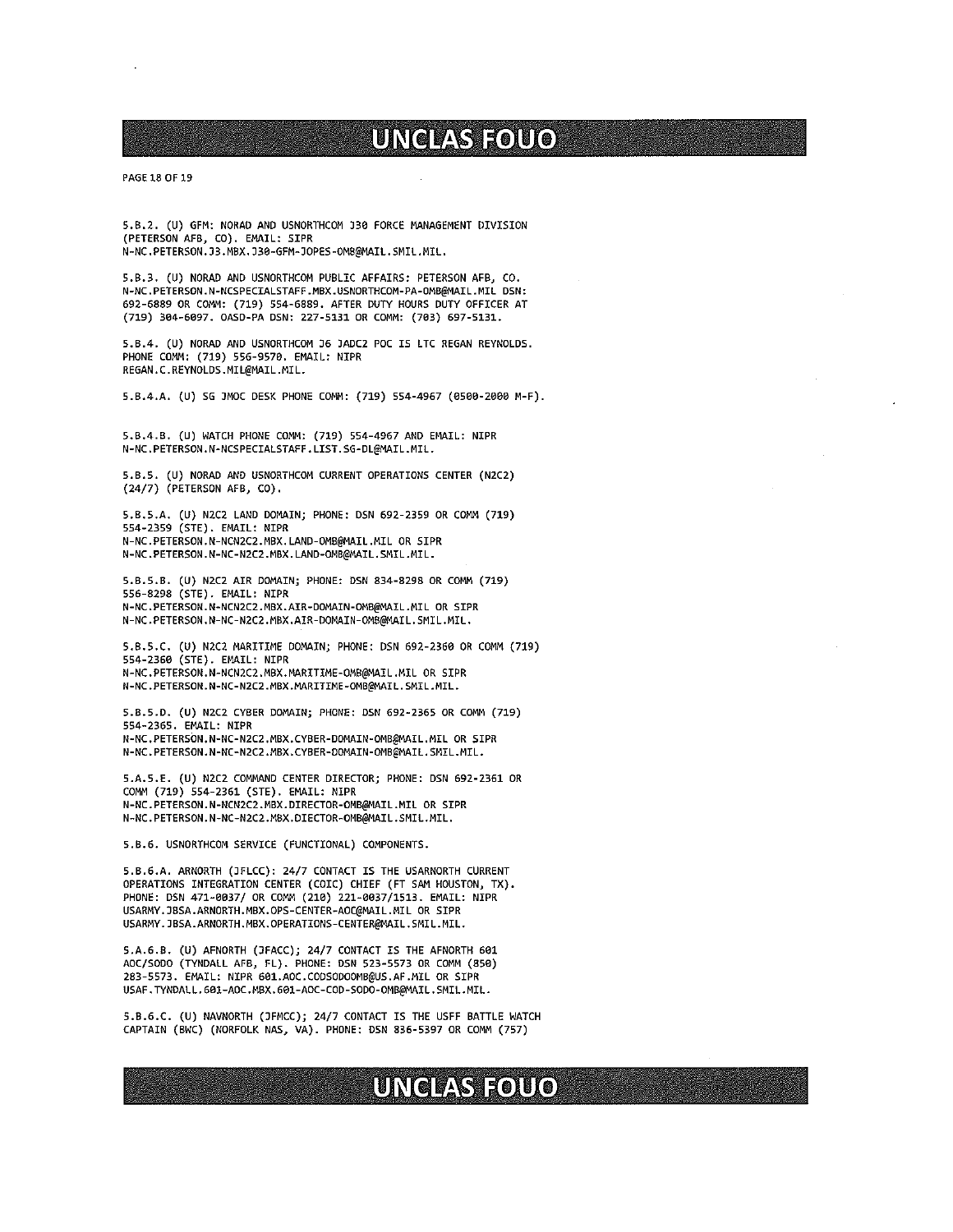### PAGE 18 OF 19

5.B.2. (U) GFN: NORAD AND USNORTHCOM J30 FORCE MANAGEMENT DIVISION (PETERSON AFB, CD). EMAIL: SIPR N-NC.PETERSON.33.MBX.D30-GFN—DOPES-OMB@NAIL.SMII.MIL.

5.B.3. (U) NORAD AND USNORTHCOM PUBLIC AFFAIRS: PETERSON AFBJ CO. N-NC. PETERSON.N-NCSPECIALSTAFF .MBX.USNORTHCDN-PA-OMB@MAIL.MIL DSN: 692-6889 OR COMM: (719) 554-6889. AFTER DUTY HOURS DUTY OFFICER AT (719) 304-6097. OASD-PA DSN: 227-5131 OR COMM: (703) 697-5131.

5.B.4. (U) NORAD AND USNORTHCOM J6 JADC2 POC IS LTC REGAN REYNOLDS. PHONE COMM: (719) 556-9570. EMAIL: NIPR REGAN.C.REYNDLDS.MIL@MAIL.MIL.

5.B.4.A. (U) SG JMOC DESK PHONE COMM: (719) 554-4967 (0500-2000 M-F).

5.8.4.8. (U) WATCH PHONE COMM: (719) 554-4967 AND EMAIL: NIPR N-NC. PETERSON. N-NCSPECIALSTAFF. LIST. SG-OL@MAIL.MIL.

5.B.S. (U) NORAD AND USNORTHCOM CURRENT OPERATIONS CENTER (N2C2) (24/7) (PETERSON AFB, CO).

S.B.5.A. (U) N2C2 LAND DOMAIN; PHONE: DSN 692-2359 OR COMM (719) 554-2359 (STE). EMAIL: NIPR N-NC.PETERSON.N-NCN2C2.MBX.LANO-OMB@NAIL.NIL OR SIPR N-NC.PETERSON.N-NC-N2C2.NBX. LAND-ONB@MAIL.SNIL.MIL.

5.8.5.8. (U) N2C2 AIR DOMAIN; PHONE: OSN 834-8298 OR COMM (719) 556-8298 (STE). EMAIL: NIPR N-NC.PETERSON.N-NCN2C2.MBX.AIR-DOMAIN-OMB@MAIL.MIL OR SIPR N-NC.PETERSON.N-NC-N2C2.MBX.AIR-DOMAIN-OMB@MAIL.SMIL.MIL.

S.B.5.C. (U) N2C2 MARITIME DOMAIN; PHONE: OSN 692-2360 OR COMM (719) 554-2360 (STE). EMAIL: NIPR N-NC.PETERSON.N-NCN2C2.MBX.MARITIME-OMB@MAIL.MIL OR SIPR N-NC.PETERSON.N-NC-N2C2.MBX.MARITIME-OMB@MAIL.SMIL.MIL.

5.8.5.0. (U) N2C2 CYBER DOMAIN; PHONE: DSN 692-2365 OR COMM (719) 554-2365. EMAIL: NIPR N-NC.PETERSON.N-NC-N2C2.MBX.CYBER-DOMAIN-OMB@MAIL.MIL OR SIPR N-NC.PETERSON.N-NC-N2C2.MBX.CYBER-DOMAIN-OMB@MAIL.SMIL.MIL.

S.A.S.E. (U) N2C2 COMMAND CENTER DIRECTOR; PHONE: DSN 692-2361 OR COMM (719) 554-2361 (STE). EMAIL: NIPR N-NC. PETERSON.N-NCN2C2.MBX.DIRECTOR-OMB@MAIL.MIL OR SIPR N-NC. PETERSON. N-NC-N2C2.M8X. DIECTOR-OMB@MAIL.SMIL.MIL.

5.8.6. USNORTHCON SERVICE (FUNCTIONAL) CONPONENTS.

S.B.6.A. ARNORTH (JFLCC): 24/7 CONTACT IS THE USARNORTH CURRENT OPERATIONS INTEGRATION CENTER (COIC) CHIEF (FT SAN HOUSTON, TX). PHONE: OSN 471-0037/ OR COMM (210) 221-0037/1513. EMAIL: NIPR USARNY.JBSA.ARNORTH.MBX.OPS-CENTER-AOC@MAIL.MIL OR SIPR USARMY. JBSA.ARNORTH.MBX.OPERATIONS-CENTER@MAIL. SMIL.MIL.

S.A.6.B. (U) AFNORTH (JFACC); 24/7 CONTACT IS THE AFNORTH 601 AOC/S000 (TYMOALL AFB, FL). PHONE: OSN 523-5573 OR COMM (850) 283-5573. EMAIL: NIPR 601.AOC.COOS0000M8@US.AF.MIL OR SIPR USAF.TYNDALL.601-AOC.MBX.601-AOC-COD-SODO-OMB@MAIL.SMIL.MIL.

S.8.6.C. (U) NAVNORTH (JFMCC); 24/7 CONTACT IS THE USFF BATTLE WATCH CAPTAIN (BWC) (NORFOLK NA5, VA). PHONE: OSN 836-5397 OR COMM (757)